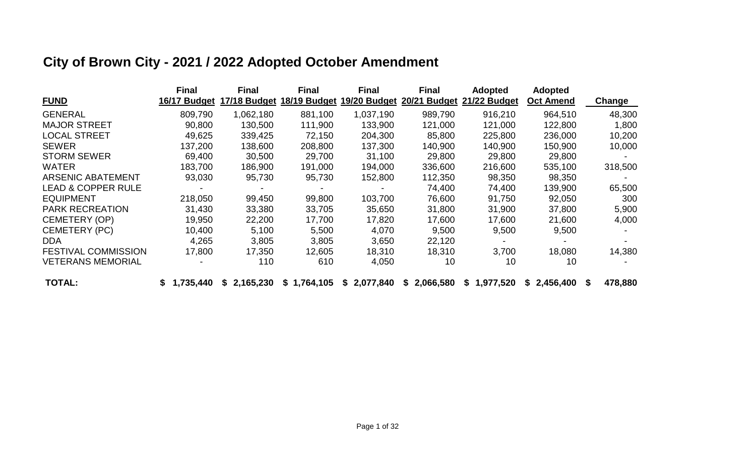|                               | <b>Final</b> | <b>Final</b> | Final        | <b>Final</b> | <b>Final</b> | <b>Adopted</b> | <b>Adopted</b>   |               |
|-------------------------------|--------------|--------------|--------------|--------------|--------------|----------------|------------------|---------------|
| <b>FUND</b>                   | 16/17 Budget | 17/18 Budget | 18/19 Budget | 19/20 Budget | 20/21 Budget | 21/22 Budget   | <b>Oct Amend</b> | <b>Change</b> |
| <b>GENERAL</b>                | 809,790      | 1,062,180    | 881,100      | 1,037,190    | 989,790      | 916,210        | 964,510          | 48,300        |
| <b>MAJOR STREET</b>           | 90,800       | 130,500      | 111,900      | 133,900      | 121,000      | 121,000        | 122,800          | 1,800         |
| <b>LOCAL STREET</b>           | 49,625       | 339,425      | 72,150       | 204,300      | 85,800       | 225,800        | 236,000          | 10,200        |
| <b>SEWER</b>                  | 137,200      | 138,600      | 208,800      | 137,300      | 140,900      | 140,900        | 150,900          | 10,000        |
| <b>STORM SEWER</b>            | 69,400       | 30,500       | 29,700       | 31,100       | 29,800       | 29,800         | 29,800           |               |
| <b>WATER</b>                  | 183,700      | 186,900      | 191,000      | 194,000      | 336,600      | 216,600        | 535,100          | 318,500       |
| <b>ARSENIC ABATEMENT</b>      | 93,030       | 95,730       | 95,730       | 152,800      | 112,350      | 98,350         | 98,350           |               |
| <b>LEAD &amp; COPPER RULE</b> |              |              |              |              | 74,400       | 74,400         | 139,900          | 65,500        |
| <b>EQUIPMENT</b>              | 218,050      | 99,450       | 99,800       | 103,700      | 76,600       | 91,750         | 92,050           | 300           |
| <b>PARK RECREATION</b>        | 31,430       | 33,380       | 33,705       | 35,650       | 31,800       | 31,900         | 37,800           | 5,900         |
| <b>CEMETERY (OP)</b>          | 19,950       | 22,200       | 17,700       | 17,820       | 17,600       | 17,600         | 21,600           | 4,000         |
| <b>CEMETERY (PC)</b>          | 10,400       | 5,100        | 5,500        | 4,070        | 9,500        | 9,500          | 9,500            |               |
| DDA.                          | 4,265        | 3,805        | 3,805        | 3,650        | 22,120       |                |                  |               |
| <b>FESTIVAL COMMISSION</b>    | 17,800       | 17,350       | 12,605       | 18,310       | 18,310       | 3,700          | 18,080           | 14,380        |
| <b>VETERANS MEMORIAL</b>      |              | 110          | 610          | 4,050        | 10           | 10             | 10               |               |
| <b>TOTAL:</b>                 | 1,735,440    | \$2,165,230  | \$1,764,105  | \$2,077,840  | \$2,066,580  | \$1,977,520    | \$2,456,400      | 478,880<br>\$ |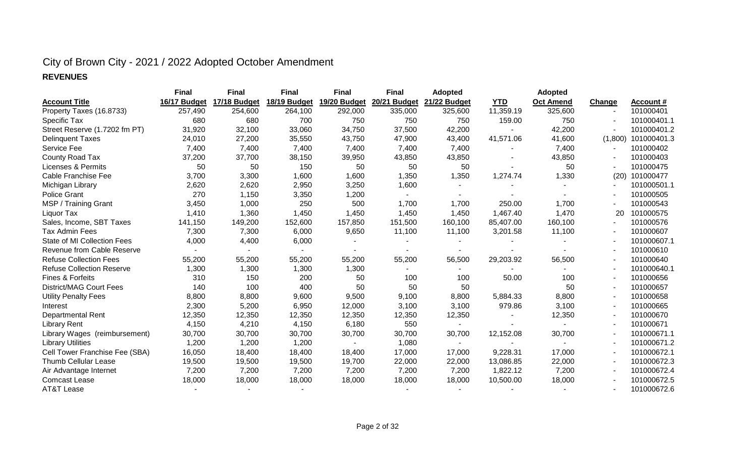#### **REVENUES**

|                                    | <b>Final</b> | <b>Final</b> | <b>Final</b> | <b>Final</b> | <b>Final</b> | <b>Adopted</b> |            | <b>Adopted</b>   |                          |                  |
|------------------------------------|--------------|--------------|--------------|--------------|--------------|----------------|------------|------------------|--------------------------|------------------|
| <b>Account Title</b>               | 16/17 Budget | 17/18 Budget | 18/19 Budget | 19/20 Budget | 20/21 Budget | 21/22 Budget   | <b>YTD</b> | <b>Oct Amend</b> | <b>Change</b>            | <b>Account #</b> |
| Property Taxes (16.8733)           | 257,490      | 254,600      | 264,100      | 292,000      | 335,000      | 325,600        | 11,359.19  | 325,600          | $\overline{\phantom{a}}$ | 101000401        |
| Specific Tax                       | 680          | 680          | 700          | 750          | 750          | 750            | 159.00     | 750              |                          | 101000401.1      |
| Street Reserve (1.7202 fm PT)      | 31,920       | 32,100       | 33,060       | 34,750       | 37,500       | 42,200         |            | 42,200           |                          | 101000401.2      |
| <b>Delinquent Taxes</b>            | 24,010       | 27,200       | 35,550       | 43,750       | 47,900       | 43,400         | 41,571.06  | 41,600           | (1,800)                  | 101000401.3      |
| Service Fee                        | 7,400        | 7,400        | 7,400        | 7,400        | 7,400        | 7,400          |            | 7,400            |                          | 101000402        |
| County Road Tax                    | 37,200       | 37,700       | 38,150       | 39,950       | 43,850       | 43,850         |            | 43,850           |                          | 101000403        |
| Licenses & Permits                 | 50           | 50           | 150          | 50           | 50           | 50             |            | 50               |                          | 101000475        |
| Cable Franchise Fee                | 3,700        | 3,300        | 1,600        | 1,600        | 1,350        | 1,350          | 1,274.74   | 1,330            | (20)                     | 101000477        |
| Michigan Library                   | 2,620        | 2,620        | 2,950        | 3,250        | 1,600        |                |            |                  |                          | 101000501.1      |
| <b>Police Grant</b>                | 270          | 1,150        | 3,350        | 1,200        |              |                |            |                  |                          | 101000505        |
| MSP / Training Grant               | 3,450        | 1,000        | 250          | 500          | 1,700        | 1,700          | 250.00     | 1,700            |                          | 101000543        |
| Liquor Tax                         | 1,410        | 1,360        | 1,450        | 1,450        | 1,450        | 1,450          | 1,467.40   | 1,470            | 20                       | 101000575        |
| Sales, Income, SBT Taxes           | 141,150      | 149,200      | 152,600      | 157,850      | 151,500      | 160,100        | 85,407.00  | 160,100          |                          | 101000576        |
| <b>Tax Admin Fees</b>              | 7,300        | 7,300        | 6,000        | 9,650        | 11,100       | 11,100         | 3,201.58   | 11,100           |                          | 101000607        |
| <b>State of MI Collection Fees</b> | 4,000        | 4,400        | 6,000        |              |              |                |            |                  |                          | 101000607.1      |
| Revenue from Cable Reserve         |              |              |              |              |              |                |            |                  |                          | 101000610        |
| <b>Refuse Collection Fees</b>      | 55,200       | 55,200       | 55,200       | 55,200       | 55,200       | 56,500         | 29,203.92  | 56,500           |                          | 101000640        |
| <b>Refuse Collection Reserve</b>   | 1,300        | 1,300        | 1,300        | 1,300        |              |                |            |                  |                          | 101000640.1      |
| Fines & Forfeits                   | 310          | 150          | 200          | 50           | 100          | 100            | 50.00      | 100              |                          | 101000656        |
| <b>District/MAG Court Fees</b>     | 140          | 100          | 400          | 50           | 50           | 50             |            | 50               |                          | 101000657        |
| <b>Utility Penalty Fees</b>        | 8,800        | 8,800        | 9,600        | 9,500        | 9,100        | 8,800          | 5,884.33   | 8,800            |                          | 101000658        |
| Interest                           | 2,300        | 5,200        | 6,950        | 12,000       | 3,100        | 3,100          | 979.86     | 3,100            |                          | 101000665        |
| <b>Departmental Rent</b>           | 12,350       | 12,350       | 12,350       | 12,350       | 12,350       | 12,350         |            | 12,350           |                          | 101000670        |
| <b>Library Rent</b>                | 4,150        | 4,210        | 4,150        | 6,180        | 550          | $\sim$         |            | $\sim$           |                          | 101000671        |
| Library Wages (reimbursement)      | 30,700       | 30,700       | 30,700       | 30,700       | 30,700       | 30,700         | 12,152.08  | 30,700           |                          | 101000671.1      |
| <b>Library Utilities</b>           | 1,200        | 1,200        | 1,200        |              | 1,080        |                |            |                  |                          | 101000671.2      |
| Cell Tower Franchise Fee (SBA)     | 16,050       | 18,400       | 18,400       | 18,400       | 17,000       | 17,000         | 9,228.31   | 17,000           |                          | 101000672.1      |
| <b>Thumb Cellular Lease</b>        | 19,500       | 19,500       | 19,500       | 19,700       | 22,000       | 22,000         | 13,086.85  | 22,000           |                          | 101000672.3      |
| Air Advantage Internet             | 7,200        | 7,200        | 7,200        | 7,200        | 7,200        | 7,200          | 1,822.12   | 7,200            |                          | 101000672.4      |
| <b>Comcast Lease</b>               | 18,000       | 18,000       | 18,000       | 18,000       | 18,000       | 18,000         | 10,500.00  | 18,000           |                          | 101000672.5      |
| <b>AT&amp;T Lease</b>              |              |              |              |              |              |                |            |                  |                          | 101000672.6      |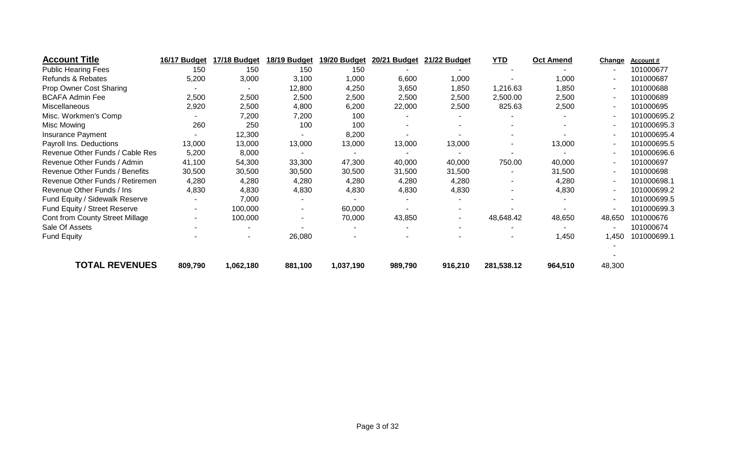| 16/17 Budget                             | 17/18 Budget                     | 18/19 Budget |         |           | 21/22 Budget            | <b>YTD</b>               | <b>Oct Amend</b> |                          | Account#                |
|------------------------------------------|----------------------------------|--------------|---------|-----------|-------------------------|--------------------------|------------------|--------------------------|-------------------------|
| 150                                      | 150                              | 150          | 150     |           |                         |                          |                  |                          | 101000677               |
| 5,200                                    | 3,000                            | 3,100        | 1,000   | 6,600     | 1,000                   |                          | 1,000            | $\blacksquare$           | 101000687               |
|                                          |                                  | 12,800       | 4,250   | 3,650     | 1,850                   | 1,216.63                 | 1,850            | $\blacksquare$           | 101000688               |
| 2,500                                    | 2,500                            | 2,500        | 2,500   | 2,500     | 2,500                   | 2,500.00                 | 2,500            | $\overline{\phantom{a}}$ | 101000689               |
| 2,920                                    | 2,500                            | 4,800        | 6,200   | 22,000    | 2,500                   | 825.63                   | 2,500            | $\overline{\phantom{a}}$ | 101000695               |
|                                          | 7,200                            | 7,200        | 100     |           |                         |                          |                  | $\overline{\phantom{a}}$ | 101000695.2             |
| 260                                      | 250                              | 100          | 100     |           |                         |                          |                  | $\overline{\phantom{a}}$ | 101000695.3             |
|                                          | 12,300                           |              | 8,200   |           |                         |                          |                  | $\overline{\phantom{a}}$ | 101000695.4             |
| 13,000                                   | 13,000                           | 13,000       | 13,000  | 13,000    | 13,000                  | $\overline{\phantom{a}}$ | 13,000           | $\overline{\phantom{a}}$ | 101000695.5             |
| Revenue Other Funds / Cable Res<br>5,200 | 8,000                            |              |         |           |                         |                          |                  | $\overline{\phantom{a}}$ | 101000696.6             |
| 41,100                                   | 54,300                           | 33,300       | 47,300  | 40,000    | 40,000                  | 750.00                   | 40,000           | $\blacksquare$           | 101000697               |
| 30,500                                   | 30,500                           | 30,500       | 30,500  | 31,500    | 31,500                  |                          | 31,500           | $\overline{\phantom{a}}$ | 101000698               |
| 4,280<br>Revenue Other Funds / Retiremen | 4,280                            | 4,280        | 4,280   | 4,280     | 4,280                   | $\blacksquare$           | 4,280            | $\overline{\phantom{a}}$ | 101000698.1             |
| 4,830                                    | 4,830                            | 4,830        | 4,830   | 4,830     | 4,830                   |                          | 4,830            | $\overline{\phantom{a}}$ | 101000699.2             |
|                                          | 7,000                            |              |         |           |                         |                          |                  | $\overline{\phantom{a}}$ | 101000699.5             |
| $\sim$                                   | 100,000                          |              | 60,000  |           |                         |                          |                  | $\overline{\phantom{a}}$ | 101000699.3             |
|                                          | 100,000                          |              | 70,000  | 43,850    | $\blacksquare$          | 48,648.42                | 48,650           | 48,650                   | 101000676               |
|                                          |                                  |              |         |           | $\blacksquare$          |                          |                  |                          | 101000674               |
|                                          |                                  | 26,080       |         |           |                         |                          | 1,450            | 1,450                    | 101000699.1             |
|                                          |                                  |              |         |           |                         |                          |                  |                          |                         |
|                                          | <b>TOTAL REVENUES</b><br>809,790 | 1,062,180    | 881,100 | 1,037,190 | 19/20 Budget<br>989,790 | 20/21 Budget<br>916,210  | 281,538.12       | 964,510                  | <b>Change</b><br>48,300 |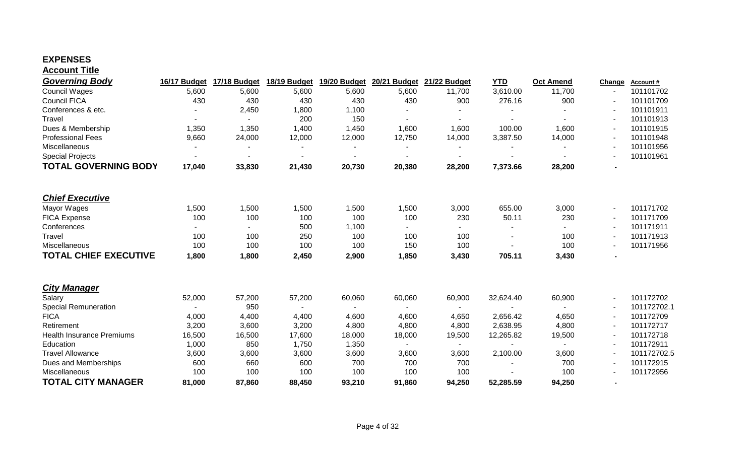#### **EXPENSES**

| <b>Account Title</b>             |              |                          |              |                |                          |                |                          |                  |        |             |
|----------------------------------|--------------|--------------------------|--------------|----------------|--------------------------|----------------|--------------------------|------------------|--------|-------------|
| Governing Body                   | 16/17 Budget | 17/18 Budget             | 18/19 Budget | 19/20 Budget   | 20/21 Budget             | 21/22 Budget   | <b>YTD</b>               | <b>Oct Amend</b> | Change | Account#    |
| <b>Council Wages</b>             | 5,600        | 5,600                    | 5,600        | 5,600          | 5,600                    | 11,700         | 3,610.00                 | 11,700           |        | 101101702   |
| <b>Council FICA</b>              | 430          | 430                      | 430          | 430            | 430                      | 900            | 276.16                   | 900              |        | 101101709   |
| Conferences & etc.               |              | 2,450                    | 1,800        | 1,100          |                          |                |                          |                  |        | 101101911   |
| Travel                           |              | $\blacksquare$           | 200          | 150            |                          | $\blacksquare$ |                          |                  |        | 101101913   |
| Dues & Membership                | 1,350        | 1,350                    | 1,400        | 1,450          | 1,600                    | 1,600          | 100.00                   | 1,600            |        | 101101915   |
| <b>Professional Fees</b>         | 9,660        | 24,000                   | 12,000       | 12,000         | 12,750                   | 14,000         | 3,387.50                 | 14,000           |        | 101101948   |
| Miscellaneous                    |              |                          |              |                |                          |                |                          |                  |        | 101101956   |
| <b>Special Projects</b>          |              | $\overline{\phantom{a}}$ | $\sim$       | $\blacksquare$ | $\overline{\phantom{a}}$ | $\blacksquare$ | $\overline{\phantom{a}}$ |                  |        | 101101961   |
| <b>TOTAL GOVERNING BODY</b>      | 17,040       | 33,830                   | 21,430       | 20,730         | 20,380                   | 28,200         | 7,373.66                 | 28,200           |        |             |
| <b>Chief Executive</b>           |              |                          |              |                |                          |                |                          |                  |        |             |
| Mayor Wages                      | 1,500        | 1,500                    | 1,500        | 1,500          | 1,500                    | 3,000          | 655.00                   | 3,000            |        | 101171702   |
| FICA Expense                     | 100          | 100                      | 100          | 100            | 100                      | 230            | 50.11                    | 230              |        | 101171709   |
| Conferences                      |              |                          | 500          | 1,100          |                          |                | $\blacksquare$           |                  |        | 101171911   |
| Travel                           | 100          | 100                      | 250          | 100            | 100                      | 100            | $\overline{\phantom{a}}$ | 100              |        | 101171913   |
| Miscellaneous                    | 100          | 100                      | 100          | 100            | 150                      | 100            |                          | 100              |        | 101171956   |
| <b>TOTAL CHIEF EXECUTIVE</b>     | 1,800        | 1,800                    | 2,450        | 2,900          | 1,850                    | 3,430          | 705.11                   | 3,430            |        |             |
|                                  |              |                          |              |                |                          |                |                          |                  |        |             |
| <b>City Manager</b>              |              |                          |              |                |                          |                |                          |                  |        |             |
| Salary                           | 52,000       | 57,200                   | 57,200       | 60,060         | 60,060                   | 60,900         | 32,624.40                | 60,900           |        | 101172702   |
| <b>Special Remuneration</b>      |              | 950                      | $\sim$       | $\blacksquare$ | $\sim$                   | $\sim$         | $\blacksquare$           |                  |        | 101172702.1 |
| <b>FICA</b>                      | 4,000        | 4,400                    | 4,400        | 4,600          | 4,600                    | 4,650          | 2,656.42                 | 4,650            |        | 101172709   |
| Retirement                       | 3,200        | 3,600                    | 3,200        | 4,800          | 4,800                    | 4,800          | 2,638.95                 | 4,800            |        | 101172717   |
| <b>Health Insurance Premiums</b> | 16,500       | 16,500                   | 17,600       | 18,000         | 18,000                   | 19,500         | 12,265.82                | 19,500           |        | 101172718   |
| Education                        | 1,000        | 850                      | 1,750        | 1,350          |                          |                |                          |                  |        | 101172911   |
| <b>Travel Allowance</b>          | 3,600        | 3,600                    | 3,600        | 3,600          | 3,600                    | 3,600          | 2,100.00                 | 3,600            |        | 101172702.5 |
| Dues and Memberships             | 600          | 660                      | 600          | 700            | 700                      | 700            |                          | 700              |        | 101172915   |
| <b>Miscellaneous</b>             | 100          | 100                      | 100          | 100            | 100                      | 100            |                          | 100              |        | 101172956   |
| <b>TOTAL CITY MANAGER</b>        | 81,000       | 87,860                   | 88,450       | 93,210         | 91,860                   | 94,250         | 52,285.59                | 94,250           |        |             |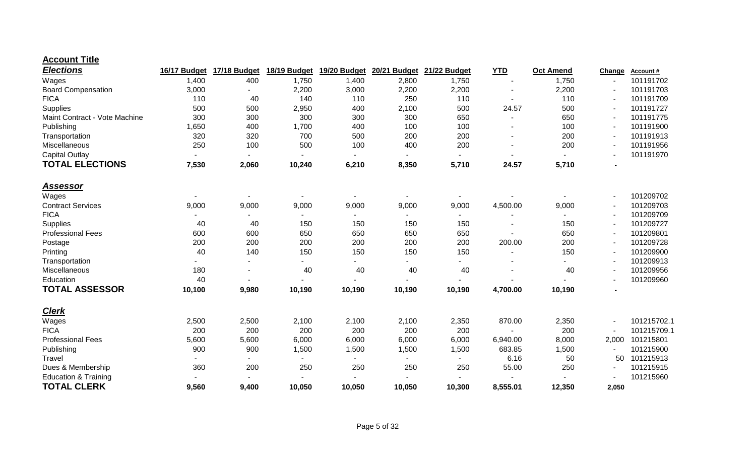#### **Account Title**

| <b>Elections</b>                | 16/17 Budget | 17/18 Budget | 18/19 Budget | 19/20 Budget | 20/21 Budget | 21/22 Budget | <b>YTD</b> | Oct Amend | Change | Account#    |
|---------------------------------|--------------|--------------|--------------|--------------|--------------|--------------|------------|-----------|--------|-------------|
| Wages                           | 1,400        | 400          | 1,750        | 1,400        | 2,800        | 1,750        |            | 1,750     |        | 101191702   |
| <b>Board Compensation</b>       | 3,000        |              | 2,200        | 3,000        | 2,200        | 2,200        |            | 2,200     |        | 101191703   |
| <b>FICA</b>                     | 110          | 40           | 140          | 110          | 250          | 110          |            | 110       |        | 101191709   |
| Supplies                        | 500          | 500          | 2,950        | 400          | 2,100        | 500          | 24.57      | 500       |        | 101191727   |
| Maint Contract - Vote Machine   | 300          | 300          | 300          | 300          | 300          | 650          |            | 650       |        | 101191775   |
| Publishing                      | 1,650        | 400          | 1,700        | 400          | 100          | 100          |            | 100       |        | 101191900   |
| Transportation                  | 320          | 320          | 700          | 500          | 200          | 200          |            | 200       |        | 101191913   |
| Miscellaneous                   | 250          | 100          | 500          | 100          | 400          | 200          |            | 200       |        | 101191956   |
| <b>Capital Outlay</b>           |              |              |              |              |              |              |            |           |        | 101191970   |
| <b>TOTAL ELECTIONS</b>          | 7,530        | 2,060        | 10,240       | 6,210        | 8,350        | 5,710        | 24.57      | 5,710     |        |             |
| <u>Assessor</u>                 |              |              |              |              |              |              |            |           |        |             |
| Wages                           |              |              |              |              |              |              |            |           |        | 101209702   |
| <b>Contract Services</b>        | 9,000        | 9,000        | 9,000        | 9,000        | 9,000        | 9,000        | 4,500.00   | 9,000     |        | 101209703   |
| <b>FICA</b>                     |              |              |              |              |              |              |            |           |        | 101209709   |
| Supplies                        | 40           | 40           | 150          | 150          | 150          | 150          |            | 150       |        | 101209727   |
| <b>Professional Fees</b>        | 600          | 600          | 650          | 650          | 650          | 650          |            | 650       |        | 101209801   |
| Postage                         | 200          | 200          | 200          | 200          | 200          | 200          | 200.00     | 200       |        | 101209728   |
| Printing                        | 40           | 140          | 150          | 150          | 150          | 150          |            | 150       |        | 101209900   |
| Transportation                  |              |              |              |              |              |              |            |           |        | 101209913   |
| Miscellaneous                   | 180          |              | 40           | 40           | 40           | 40           |            | 40        |        | 101209956   |
| Education                       | 40           |              |              |              |              |              |            |           |        | 101209960   |
| <b>TOTAL ASSESSOR</b>           | 10,100       | 9,980        | 10,190       | 10,190       | 10,190       | 10,190       | 4,700.00   | 10,190    |        |             |
| <b>Clerk</b>                    |              |              |              |              |              |              |            |           |        |             |
| Wages                           | 2,500        | 2,500        | 2,100        | 2,100        | 2,100        | 2,350        | 870.00     | 2,350     |        | 101215702.1 |
| <b>FICA</b>                     | 200          | 200          | 200          | 200          | 200          | 200          |            | 200       |        | 101215709.1 |
| <b>Professional Fees</b>        | 5,600        | 5,600        | 6,000        | 6,000        | 6,000        | 6,000        | 6,940.00   | 8,000     | 2,000  | 101215801   |
| Publishing                      | 900          | 900          | 1,500        | 1,500        | 1,500        | 1,500        | 683.85     | 1,500     |        | 101215900   |
| Travel                          |              |              |              |              |              |              | 6.16       | 50        | 50     | 101215913   |
| Dues & Membership               | 360          | 200          | 250          | 250          | 250          | 250          | 55.00      | 250       |        | 101215915   |
| <b>Education &amp; Training</b> |              |              |              |              |              |              |            |           |        | 101215960   |
| <b>TOTAL CLERK</b>              | 9,560        | 9,400        | 10,050       | 10,050       | 10,050       | 10,300       | 8,555.01   | 12,350    | 2,050  |             |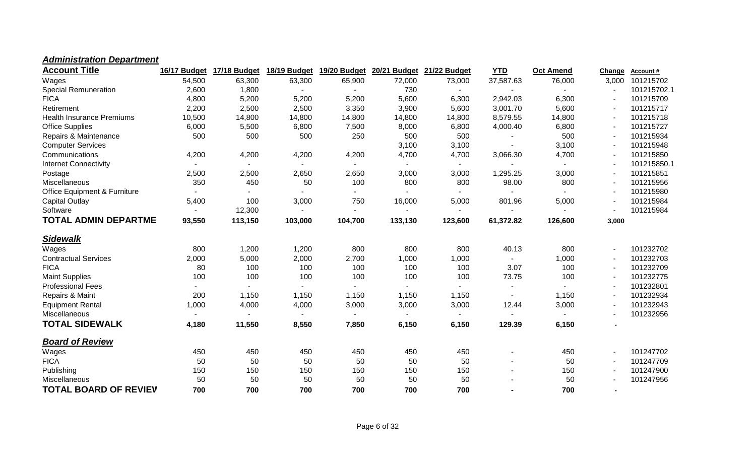| <b>Account Title</b>             | 16/17 Budget   | 17/18 Budget | 18/19 Budget | 19/20 Budget             | 20/21 Budget   | 21/22 Budget | <b>YTD</b>     | <b>Oct Amend</b> | Change         | <b>Account#</b> |
|----------------------------------|----------------|--------------|--------------|--------------------------|----------------|--------------|----------------|------------------|----------------|-----------------|
| Wages                            | 54,500         | 63,300       | 63,300       | 65,900                   | 72,000         | 73,000       | 37,587.63      | 76,000           | 3,000          | 101215702       |
| <b>Special Remuneration</b>      | 2,600          | 1,800        |              |                          | 730            |              |                |                  |                | 101215702.1     |
| <b>FICA</b>                      | 4,800          | 5,200        | 5,200        | 5,200                    | 5,600          | 6,300        | 2,942.03       | 6,300            |                | 101215709       |
| Retirement                       | 2,200          | 2,500        | 2,500        | 3,350                    | 3,900          | 5,600        | 3,001.70       | 5,600            |                | 101215717       |
| <b>Health Insurance Premiums</b> | 10,500         | 14,800       | 14,800       | 14,800                   | 14,800         | 14,800       | 8,579.55       | 14,800           |                | 101215718       |
| <b>Office Supplies</b>           | 6,000          | 5,500        | 6,800        | 7,500                    | 8,000          | 6,800        | 4,000.40       | 6,800            |                | 101215727       |
| Repairs & Maintenance            | 500            | 500          | 500          | 250                      | 500            | 500          |                | 500              |                | 101215934       |
| <b>Computer Services</b>         |                |              |              |                          | 3,100          | 3,100        |                | 3,100            |                | 101215948       |
| Communications                   | 4,200          | 4,200        | 4,200        | 4,200                    | 4,700          | 4,700        | 3,066.30       | 4,700            |                | 101215850       |
| <b>Internet Connectivity</b>     |                |              |              | $\overline{\phantom{0}}$ |                | $\sim$       |                |                  |                | 101215850.1     |
| Postage                          | 2,500          | 2,500        | 2,650        | 2,650                    | 3,000          | 3,000        | 1,295.25       | 3,000            |                | 101215851       |
| <b>Miscellaneous</b>             | 350            | 450          | 50           | 100                      | 800            | 800          | 98.00          | 800              |                | 101215956       |
| Office Equipment & Furniture     | $\blacksquare$ |              |              | $\overline{\phantom{a}}$ | $\blacksquare$ |              |                |                  |                | 101215980       |
| Capital Outlay                   | 5,400          | 100          | 3,000        | 750                      | 16,000         | 5,000        | 801.96         | 5,000            |                | 101215984       |
| Software                         | $\blacksquare$ | 12,300       |              | $\overline{\phantom{0}}$ | $\blacksquare$ |              | $\blacksquare$ |                  |                | 101215984       |
| <b>TOTAL ADMIN DEPARTME</b>      | 93,550         | 113,150      | 103,000      | 104,700                  | 133,130        | 123,600      | 61,372.82      | 126,600          | 3,000          |                 |
| <b>Sidewalk</b>                  |                |              |              |                          |                |              |                |                  |                |                 |
| Wages                            | 800            | 1,200        | 1,200        | 800                      | 800            | 800          | 40.13          | 800              | $\blacksquare$ | 101232702       |
| <b>Contractual Services</b>      | 2,000          | 5,000        | 2,000        | 2,700                    | 1,000          | 1,000        |                | 1,000            |                | 101232703       |
| <b>FICA</b>                      | 80             | 100          | 100          | 100                      | 100            | 100          | 3.07           | 100              |                | 101232709       |
| <b>Maint Supplies</b>            | 100            | 100          | 100          | 100                      | 100            | 100          | 73.75          | 100              |                | 101232775       |
| <b>Professional Fees</b>         |                |              |              |                          |                |              |                |                  |                | 101232801       |
| Repairs & Maint                  | 200            | 1,150        | 1,150        | 1,150                    | 1,150          | 1,150        |                | 1,150            |                | 101232934       |
| <b>Equipment Rental</b>          | 1,000          | 4,000        | 4,000        | 3,000                    | 3,000          | 3,000        | 12.44          | 3,000            |                | 101232943       |
| Miscellaneous                    |                |              |              | $\sim$                   | $\blacksquare$ | $\sim$       |                |                  |                | 101232956       |
| <b>TOTAL SIDEWALK</b>            | 4,180          | 11,550       | 8,550        | 7,850                    | 6,150          | 6,150        | 129.39         | 6,150            |                |                 |
| <b>Board of Review</b>           |                |              |              |                          |                |              |                |                  |                |                 |
| Wages                            | 450            | 450          | 450          | 450                      | 450            | 450          |                | 450              |                | 101247702       |
| <b>FICA</b>                      | 50             | 50           | 50           | 50                       | 50             | 50           |                | 50               |                | 101247709       |
| Publishing                       | 150            | 150          | 150          | 150                      | 150            | 150          |                | 150              |                | 101247900       |
| Miscellaneous                    | 50             | 50           | 50           | 50                       | 50             | 50           |                | 50               |                | 101247956       |
| <b>TOTAL BOARD OF REVIEV</b>     | 700            | 700          | 700          | 700                      | 700            | 700          |                | 700              |                |                 |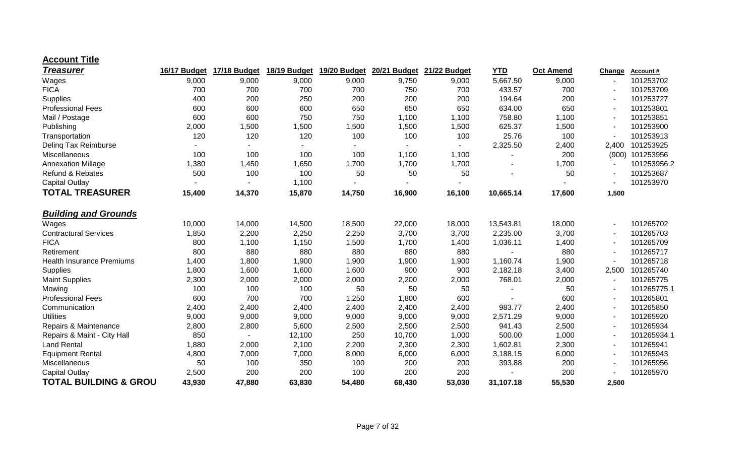#### **Account Title**

| <b>Treasurer</b>                 | 16/17 Budget | 17/18 Budget | 18/19 Budget | 19/20 Budget | 20/21 Budget | 21/22 Budget   | <b>YTD</b> | <b>Oct Amend</b> | Change | Account#    |
|----------------------------------|--------------|--------------|--------------|--------------|--------------|----------------|------------|------------------|--------|-------------|
| Wages                            | 9,000        | 9,000        | 9,000        | 9,000        | 9,750        | 9,000          | 5,667.50   | 9,000            |        | 101253702   |
| <b>FICA</b>                      | 700          | 700          | 700          | 700          | 750          | 700            | 433.57     | 700              |        | 101253709   |
| Supplies                         | 400          | 200          | 250          | 200          | 200          | 200            | 194.64     | 200              |        | 101253727   |
| <b>Professional Fees</b>         | 600          | 600          | 600          | 650          | 650          | 650            | 634.00     | 650              |        | 101253801   |
| Mail / Postage                   | 600          | 600          | 750          | 750          | 1,100        | 1,100          | 758.80     | 1,100            |        | 101253851   |
| Publishing                       | 2,000        | 1,500        | 1,500        | 1,500        | 1,500        | 1,500          | 625.37     | 1,500            |        | 101253900   |
| Transportation                   | 120          | 120          | 120          | 100          | 100          | 100            | 25.76      | 100              |        | 101253913   |
| Deling Tax Reimburse             |              |              |              |              |              | $\blacksquare$ | 2,325.50   | 2,400            | 2,400  | 101253925   |
| Miscellaneous                    | 100          | 100          | 100          | 100          | 1,100        | 1,100          |            | 200              | (900)  | 101253956   |
| <b>Annexation Millage</b>        | 1,380        | 1,450        | 1,650        | 1,700        | 1,700        | 1,700          |            | 1,700            |        | 101253956.2 |
| <b>Refund &amp; Rebates</b>      | 500          | 100          | 100          | 50           | 50           | 50             |            | 50               |        | 101253687   |
| <b>Capital Outlay</b>            |              |              | 1,100        |              |              |                |            |                  |        | 101253970   |
| <b>TOTAL TREASURER</b>           | 15,400       | 14,370       | 15,870       | 14,750       | 16,900       | 16,100         | 10,665.14  | 17,600           | 1,500  |             |
| <b>Building and Grounds</b>      |              |              |              |              |              |                |            |                  |        |             |
| Wages                            | 10,000       | 14,000       | 14,500       | 18,500       | 22,000       | 18,000         | 13,543.81  | 18,000           |        | 101265702   |
| <b>Contractural Services</b>     | 1,850        | 2,200        | 2,250        | 2,250        | 3,700        | 3,700          | 2,235.00   | 3,700            |        | 101265703   |
| <b>FICA</b>                      | 800          | 1,100        | 1,150        | 1,500        | 1,700        | 1,400          | 1,036.11   | 1,400            |        | 101265709   |
| Retirement                       | 800          | 880          | 880          | 880          | 880          | 880            |            | 880              |        | 101265717   |
| <b>Health Insurance Premiums</b> | 1,400        | 1,800        | 1,900        | 1,900        | 1,900        | 1,900          | 1,160.74   | 1,900            |        | 101265718   |
| Supplies                         | 1,800        | 1,600        | 1,600        | 1,600        | 900          | 900            | 2,182.18   | 3,400            | 2,500  | 101265740   |
| <b>Maint Supplies</b>            | 2,300        | 2,000        | 2,000        | 2,000        | 2,200        | 2,000          | 768.01     | 2,000            |        | 101265775   |
| Mowing                           | 100          | 100          | 100          | 50           | 50           | 50             |            | 50               |        | 101265775.1 |
| <b>Professional Fees</b>         | 600          | 700          | 700          | 1,250        | 1,800        | 600            |            | 600              |        | 101265801   |
| Communication                    | 2,400        | 2,400        | 2,400        | 2,400        | 2,400        | 2,400          | 983.77     | 2,400            |        | 101265850   |
| <b>Utilities</b>                 | 9,000        | 9,000        | 9,000        | 9,000        | 9,000        | 9,000          | 2,571.29   | 9,000            |        | 101265920   |
| Repairs & Maintenance            | 2,800        | 2,800        | 5,600        | 2,500        | 2,500        | 2,500          | 941.43     | 2,500            |        | 101265934   |
| Repairs & Maint - City Hall      | 850          |              | 12,100       | 250          | 10,700       | 1,000          | 500.00     | 1,000            |        | 101265934.1 |
| <b>Land Rental</b>               | 1,880        | 2,000        | 2,100        | 2,200        | 2,300        | 2,300          | 1,602.81   | 2,300            |        | 101265941   |
| <b>Equipment Rental</b>          | 4,800        | 7,000        | 7,000        | 8,000        | 6,000        | 6,000          | 3,188.15   | 6,000            |        | 101265943   |
| Miscellaneous                    | 50           | 100          | 350          | 100          | 200          | 200            | 393.88     | 200              |        | 101265956   |
| <b>Capital Outlay</b>            | 2,500        | 200          | 200          | 100          | 200          | 200            |            | 200              |        | 101265970   |
| <b>TOTAL BUILDING &amp; GROU</b> | 43,930       | 47,880       | 63,830       | 54,480       | 68,430       | 53,030         | 31,107.18  | 55,530           | 2,500  |             |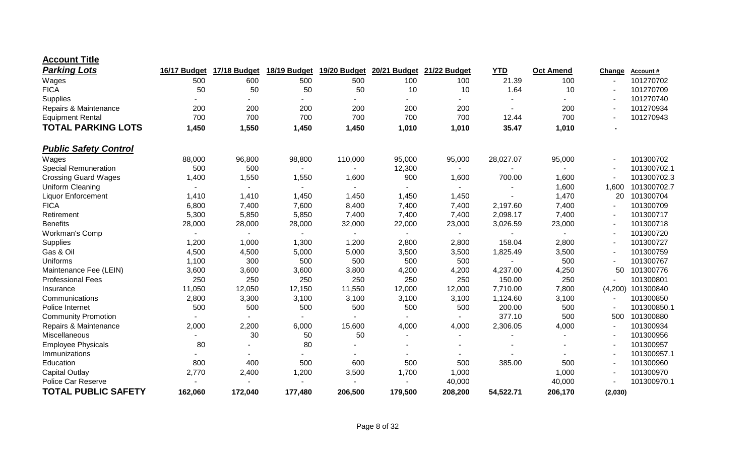| <b>Account Title</b> |  |
|----------------------|--|
|----------------------|--|

| <b>Parking Lots</b>          | 16/17 Budget | 17/18 Budget | 18/19 Budget | 19/20 Budget | 20/21 Budget | 21/22 Budget | <b>YTD</b> | <b>Oct Amend</b> | Change         | Account#    |
|------------------------------|--------------|--------------|--------------|--------------|--------------|--------------|------------|------------------|----------------|-------------|
| Wages                        | 500          | 600          | 500          | 500          | 100          | 100          | 21.39      | 100              |                | 101270702   |
| <b>FICA</b>                  | 50           | 50           | 50           | 50           | 10           | 10           | 1.64       | 10               |                | 101270709   |
| Supplies                     |              |              |              |              |              |              |            |                  |                | 101270740   |
| Repairs & Maintenance        | 200          | 200          | 200          | 200          | 200          | 200          |            | 200              |                | 101270934   |
| <b>Equipment Rental</b>      | 700          | 700          | 700          | 700          | 700          | 700          | 12.44      | 700              |                | 101270943   |
| <b>TOTAL PARKING LOTS</b>    | 1,450        | 1,550        | 1,450        | 1,450        | 1,010        | 1,010        | 35.47      | 1,010            |                |             |
| <b>Public Safety Control</b> |              |              |              |              |              |              |            |                  |                |             |
| Wages                        | 88,000       | 96,800       | 98,800       | 110,000      | 95,000       | 95,000       | 28,027.07  | 95,000           |                | 101300702   |
| <b>Special Remuneration</b>  | 500          | 500          |              |              | 12,300       |              |            |                  |                | 101300702.1 |
| <b>Crossing Guard Wages</b>  | 1,400        | 1,550        | 1,550        | 1,600        | 900          | 1,600        | 700.00     | 1,600            |                | 101300702.3 |
| Uniform Cleaning             |              |              |              |              |              |              |            | 1,600            | 1,600          | 101300702.7 |
| <b>Liquor Enforcement</b>    | 1,410        | 1,410        | 1,450        | 1,450        | 1,450        | 1,450        |            | 1,470            | 20             | 101300704   |
| <b>FICA</b>                  | 6,800        | 7,400        | 7,600        | 8,400        | 7,400        | 7,400        | 2,197.60   | 7,400            |                | 101300709   |
| Retirement                   | 5,300        | 5,850        | 5,850        | 7,400        | 7,400        | 7,400        | 2,098.17   | 7,400            |                | 101300717   |
| <b>Benefits</b>              | 28,000       | 28,000       | 28,000       | 32,000       | 22,000       | 23,000       | 3,026.59   | 23,000           |                | 101300718   |
| Workman's Comp               |              |              |              |              | $\sim$       |              |            |                  |                | 101300720   |
| Supplies                     | 1,200        | 1,000        | 1,300        | 1,200        | 2,800        | 2,800        | 158.04     | 2,800            |                | 101300727   |
| Gas & Oil                    | 4,500        | 4,500        | 5,000        | 5,000        | 3,500        | 3,500        | 1,825.49   | 3,500            |                | 101300759   |
| Uniforms                     | 1,100        | 300          | 500          | 500          | 500          | 500          |            | 500              |                | 101300767   |
| Maintenance Fee (LEIN)       | 3,600        | 3,600        | 3,600        | 3,800        | 4,200        | 4,200        | 4,237.00   | 4,250            | 50             | 101300776   |
| <b>Professional Fees</b>     | 250          | 250          | 250          | 250          | 250          | 250          | 150.00     | 250              |                | 101300801   |
| Insurance                    | 11,050       | 12,050       | 12,150       | 11,550       | 12,000       | 12,000       | 7,710.00   | 7,800            | (4,200)        | 101300840   |
| Communications               | 2,800        | 3,300        | 3,100        | 3,100        | 3,100        | 3,100        | 1,124.60   | 3,100            |                | 101300850   |
| Police Internet              | 500          | 500          | 500          | 500          | 500          | 500          | 200.00     | 500              |                | 101300850.1 |
| <b>Community Promotion</b>   |              |              |              |              |              |              | 377.10     | 500              | 500            | 101300880   |
| Repairs & Maintenance        | 2,000        | 2,200        | 6,000        | 15,600       | 4,000        | 4,000        | 2,306.05   | 4,000            | $\blacksquare$ | 101300934   |
| Miscellaneous                |              | 30           | 50           | 50           |              |              |            |                  |                | 101300956   |
| <b>Employee Physicals</b>    | 80           |              | 80           |              |              |              |            |                  |                | 101300957   |
| Immunizations                |              |              |              |              |              |              |            |                  |                | 101300957.1 |
| Education                    | 800          | 400          | 500          | 600          | 500          | 500          | 385.00     | 500              |                | 101300960   |
| <b>Capital Outlay</b>        | 2,770        | 2,400        | 1,200        | 3,500        | 1,700        | 1,000        |            | 1,000            |                | 101300970   |
| <b>Police Car Reserve</b>    |              |              |              |              |              | 40,000       |            | 40,000           |                | 101300970.1 |
| <b>TOTAL PUBLIC SAFETY</b>   | 162,060      | 172,040      | 177,480      | 206,500      | 179,500      | 208,200      | 54,522.71  | 206,170          | (2,030)        |             |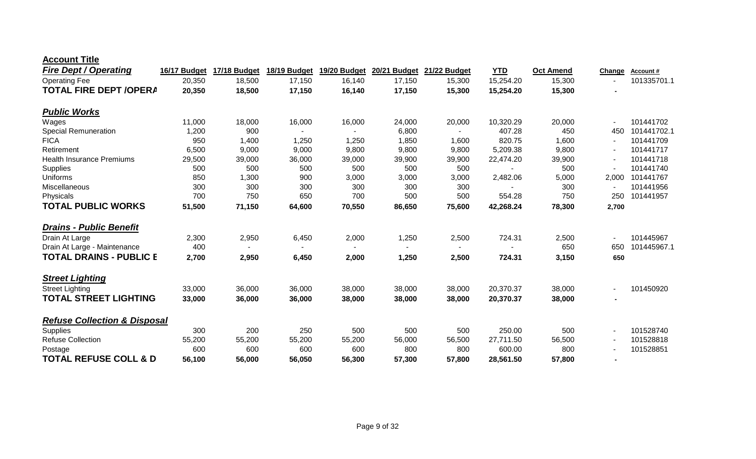| <b>Account Title</b> |
|----------------------|
|----------------------|

| 20,350<br>18,500<br>15,254.20<br>15,300<br>101335701.1<br><b>Operating Fee</b><br>17,150<br>16,140<br>17,150<br>15,300<br><b>TOTAL FIRE DEPT /OPERA</b><br>20,350<br>18,500<br>17,150<br>16,140<br>17,150<br>15,300<br>15,254.20<br>15,300<br><b>Public Works</b><br>11,000<br>10,320.29<br>18,000<br>16,000<br>16,000<br>24,000<br>20,000<br>20,000<br>101441702<br>Wages<br>$\overline{a}$<br>407.28<br>101441702.1<br>1,200<br>900<br>6,800<br>450<br>450<br>820.75<br><b>FICA</b><br>950<br>1,400<br>1,250<br>1,850<br>1,600<br>1,600<br>101441709<br>1,250<br>$\overline{\phantom{a}}$<br>6,500<br>9,000<br>9,000<br>9,800<br>9,800<br>9,800<br>5,209.38<br>9,800<br>101441717<br>Retirement<br>$\blacksquare$<br><b>Health Insurance Premiums</b><br>29,500<br>39,000<br>36,000<br>39,900<br>39,900<br>39,000<br>22,474.20<br>39,900<br>101441718<br>500<br>500<br>500<br>500<br>500<br>500<br>500<br>101441740<br>850<br>1,300<br>900<br>3,000<br>3,000<br>3,000<br>2,482.06<br>5,000<br>101441767<br>Uniforms<br>2,000<br>300<br>300<br>300<br>300<br>300<br>300<br>101441956<br>300<br>500<br>700<br>750<br>650<br>700<br>500<br>554.28<br>750<br>101441957<br>250<br>Physicals<br><b>TOTAL PUBLIC WORKS</b><br>51,500<br>71,150<br>64,600<br>70,550<br>42,268.24<br>78,300<br>86,650<br>75,600<br>2,700<br><b>Drains - Public Benefit</b><br>Drain At Large<br>2,950<br>2,000<br>724.31<br>101445967<br>2,300<br>6,450<br>1,250<br>2,500<br>2,500<br>$\blacksquare$<br>400<br>650<br>101445967.1<br>Drain At Large - Maintenance<br>650<br><b>TOTAL DRAINS - PUBLIC E</b><br>2,700<br>1,250<br>724.31<br>2,950<br>6,450<br>2,000<br>2,500<br>3,150<br>650<br><b>Street Lighting</b><br>33,000<br>36,000<br>36,000<br>38,000<br>20,370.37<br>38,000<br>101450920<br>38,000<br>38,000<br><b>Street Lighting</b><br><b>TOTAL STREET LIGHTING</b><br>33,000<br>36,000<br>36,000<br>38,000<br>38,000<br>38,000<br>38,000<br>20,370.37 | <b>Fire Dept / Operating</b>            | 16/17 Budget | 17/18 Budget | 18/19 Budget | 19/20 Budget | 20/21 Budget | 21/22 Budget | <b>YTD</b> | <b>Oct Amend</b> | Change | Account# |
|--------------------------------------------------------------------------------------------------------------------------------------------------------------------------------------------------------------------------------------------------------------------------------------------------------------------------------------------------------------------------------------------------------------------------------------------------------------------------------------------------------------------------------------------------------------------------------------------------------------------------------------------------------------------------------------------------------------------------------------------------------------------------------------------------------------------------------------------------------------------------------------------------------------------------------------------------------------------------------------------------------------------------------------------------------------------------------------------------------------------------------------------------------------------------------------------------------------------------------------------------------------------------------------------------------------------------------------------------------------------------------------------------------------------------------------------------------------------------------------------------------------------------------------------------------------------------------------------------------------------------------------------------------------------------------------------------------------------------------------------------------------------------------------------------------------------------------------------------------------------------------------------------------------------------------------------|-----------------------------------------|--------------|--------------|--------------|--------------|--------------|--------------|------------|------------------|--------|----------|
|                                                                                                                                                                                                                                                                                                                                                                                                                                                                                                                                                                                                                                                                                                                                                                                                                                                                                                                                                                                                                                                                                                                                                                                                                                                                                                                                                                                                                                                                                                                                                                                                                                                                                                                                                                                                                                                                                                                                            |                                         |              |              |              |              |              |              |            |                  |        |          |
|                                                                                                                                                                                                                                                                                                                                                                                                                                                                                                                                                                                                                                                                                                                                                                                                                                                                                                                                                                                                                                                                                                                                                                                                                                                                                                                                                                                                                                                                                                                                                                                                                                                                                                                                                                                                                                                                                                                                            |                                         |              |              |              |              |              |              |            |                  |        |          |
|                                                                                                                                                                                                                                                                                                                                                                                                                                                                                                                                                                                                                                                                                                                                                                                                                                                                                                                                                                                                                                                                                                                                                                                                                                                                                                                                                                                                                                                                                                                                                                                                                                                                                                                                                                                                                                                                                                                                            |                                         |              |              |              |              |              |              |            |                  |        |          |
|                                                                                                                                                                                                                                                                                                                                                                                                                                                                                                                                                                                                                                                                                                                                                                                                                                                                                                                                                                                                                                                                                                                                                                                                                                                                                                                                                                                                                                                                                                                                                                                                                                                                                                                                                                                                                                                                                                                                            |                                         |              |              |              |              |              |              |            |                  |        |          |
|                                                                                                                                                                                                                                                                                                                                                                                                                                                                                                                                                                                                                                                                                                                                                                                                                                                                                                                                                                                                                                                                                                                                                                                                                                                                                                                                                                                                                                                                                                                                                                                                                                                                                                                                                                                                                                                                                                                                            | <b>Special Remuneration</b>             |              |              |              |              |              |              |            |                  |        |          |
|                                                                                                                                                                                                                                                                                                                                                                                                                                                                                                                                                                                                                                                                                                                                                                                                                                                                                                                                                                                                                                                                                                                                                                                                                                                                                                                                                                                                                                                                                                                                                                                                                                                                                                                                                                                                                                                                                                                                            |                                         |              |              |              |              |              |              |            |                  |        |          |
|                                                                                                                                                                                                                                                                                                                                                                                                                                                                                                                                                                                                                                                                                                                                                                                                                                                                                                                                                                                                                                                                                                                                                                                                                                                                                                                                                                                                                                                                                                                                                                                                                                                                                                                                                                                                                                                                                                                                            |                                         |              |              |              |              |              |              |            |                  |        |          |
|                                                                                                                                                                                                                                                                                                                                                                                                                                                                                                                                                                                                                                                                                                                                                                                                                                                                                                                                                                                                                                                                                                                                                                                                                                                                                                                                                                                                                                                                                                                                                                                                                                                                                                                                                                                                                                                                                                                                            |                                         |              |              |              |              |              |              |            |                  |        |          |
|                                                                                                                                                                                                                                                                                                                                                                                                                                                                                                                                                                                                                                                                                                                                                                                                                                                                                                                                                                                                                                                                                                                                                                                                                                                                                                                                                                                                                                                                                                                                                                                                                                                                                                                                                                                                                                                                                                                                            | Supplies                                |              |              |              |              |              |              |            |                  |        |          |
|                                                                                                                                                                                                                                                                                                                                                                                                                                                                                                                                                                                                                                                                                                                                                                                                                                                                                                                                                                                                                                                                                                                                                                                                                                                                                                                                                                                                                                                                                                                                                                                                                                                                                                                                                                                                                                                                                                                                            |                                         |              |              |              |              |              |              |            |                  |        |          |
|                                                                                                                                                                                                                                                                                                                                                                                                                                                                                                                                                                                                                                                                                                                                                                                                                                                                                                                                                                                                                                                                                                                                                                                                                                                                                                                                                                                                                                                                                                                                                                                                                                                                                                                                                                                                                                                                                                                                            | Miscellaneous                           |              |              |              |              |              |              |            |                  |        |          |
|                                                                                                                                                                                                                                                                                                                                                                                                                                                                                                                                                                                                                                                                                                                                                                                                                                                                                                                                                                                                                                                                                                                                                                                                                                                                                                                                                                                                                                                                                                                                                                                                                                                                                                                                                                                                                                                                                                                                            |                                         |              |              |              |              |              |              |            |                  |        |          |
|                                                                                                                                                                                                                                                                                                                                                                                                                                                                                                                                                                                                                                                                                                                                                                                                                                                                                                                                                                                                                                                                                                                                                                                                                                                                                                                                                                                                                                                                                                                                                                                                                                                                                                                                                                                                                                                                                                                                            |                                         |              |              |              |              |              |              |            |                  |        |          |
|                                                                                                                                                                                                                                                                                                                                                                                                                                                                                                                                                                                                                                                                                                                                                                                                                                                                                                                                                                                                                                                                                                                                                                                                                                                                                                                                                                                                                                                                                                                                                                                                                                                                                                                                                                                                                                                                                                                                            |                                         |              |              |              |              |              |              |            |                  |        |          |
|                                                                                                                                                                                                                                                                                                                                                                                                                                                                                                                                                                                                                                                                                                                                                                                                                                                                                                                                                                                                                                                                                                                                                                                                                                                                                                                                                                                                                                                                                                                                                                                                                                                                                                                                                                                                                                                                                                                                            |                                         |              |              |              |              |              |              |            |                  |        |          |
|                                                                                                                                                                                                                                                                                                                                                                                                                                                                                                                                                                                                                                                                                                                                                                                                                                                                                                                                                                                                                                                                                                                                                                                                                                                                                                                                                                                                                                                                                                                                                                                                                                                                                                                                                                                                                                                                                                                                            |                                         |              |              |              |              |              |              |            |                  |        |          |
|                                                                                                                                                                                                                                                                                                                                                                                                                                                                                                                                                                                                                                                                                                                                                                                                                                                                                                                                                                                                                                                                                                                                                                                                                                                                                                                                                                                                                                                                                                                                                                                                                                                                                                                                                                                                                                                                                                                                            |                                         |              |              |              |              |              |              |            |                  |        |          |
|                                                                                                                                                                                                                                                                                                                                                                                                                                                                                                                                                                                                                                                                                                                                                                                                                                                                                                                                                                                                                                                                                                                                                                                                                                                                                                                                                                                                                                                                                                                                                                                                                                                                                                                                                                                                                                                                                                                                            |                                         |              |              |              |              |              |              |            |                  |        |          |
|                                                                                                                                                                                                                                                                                                                                                                                                                                                                                                                                                                                                                                                                                                                                                                                                                                                                                                                                                                                                                                                                                                                                                                                                                                                                                                                                                                                                                                                                                                                                                                                                                                                                                                                                                                                                                                                                                                                                            |                                         |              |              |              |              |              |              |            |                  |        |          |
|                                                                                                                                                                                                                                                                                                                                                                                                                                                                                                                                                                                                                                                                                                                                                                                                                                                                                                                                                                                                                                                                                                                                                                                                                                                                                                                                                                                                                                                                                                                                                                                                                                                                                                                                                                                                                                                                                                                                            |                                         |              |              |              |              |              |              |            |                  |        |          |
|                                                                                                                                                                                                                                                                                                                                                                                                                                                                                                                                                                                                                                                                                                                                                                                                                                                                                                                                                                                                                                                                                                                                                                                                                                                                                                                                                                                                                                                                                                                                                                                                                                                                                                                                                                                                                                                                                                                                            | <b>Refuse Collection &amp; Disposal</b> |              |              |              |              |              |              |            |                  |        |          |
| 200<br>250<br>500<br>500<br>500<br>250.00<br>500<br>101528740<br>300<br>$\blacksquare$                                                                                                                                                                                                                                                                                                                                                                                                                                                                                                                                                                                                                                                                                                                                                                                                                                                                                                                                                                                                                                                                                                                                                                                                                                                                                                                                                                                                                                                                                                                                                                                                                                                                                                                                                                                                                                                     |                                         |              |              |              |              |              |              |            |                  |        |          |
| 55,200<br>101528818<br><b>Refuse Collection</b><br>55,200<br>55,200<br>56,000<br>56,500<br>27,711.50<br>56,500<br>55,200                                                                                                                                                                                                                                                                                                                                                                                                                                                                                                                                                                                                                                                                                                                                                                                                                                                                                                                                                                                                                                                                                                                                                                                                                                                                                                                                                                                                                                                                                                                                                                                                                                                                                                                                                                                                                   | Supplies                                |              |              |              |              |              |              |            |                  |        |          |
| 600<br>600<br>600<br>600<br>800<br>800<br>600.00<br>800<br>101528851<br>Postage<br>$\overline{a}$                                                                                                                                                                                                                                                                                                                                                                                                                                                                                                                                                                                                                                                                                                                                                                                                                                                                                                                                                                                                                                                                                                                                                                                                                                                                                                                                                                                                                                                                                                                                                                                                                                                                                                                                                                                                                                          |                                         |              |              |              |              |              |              |            |                  |        |          |
| <b>TOTAL REFUSE COLL &amp; D</b><br>56,000<br>57,800<br>57,800<br>56,100<br>56,050<br>56,300<br>57,300<br>28,561.50                                                                                                                                                                                                                                                                                                                                                                                                                                                                                                                                                                                                                                                                                                                                                                                                                                                                                                                                                                                                                                                                                                                                                                                                                                                                                                                                                                                                                                                                                                                                                                                                                                                                                                                                                                                                                        |                                         |              |              |              |              |              |              |            |                  |        |          |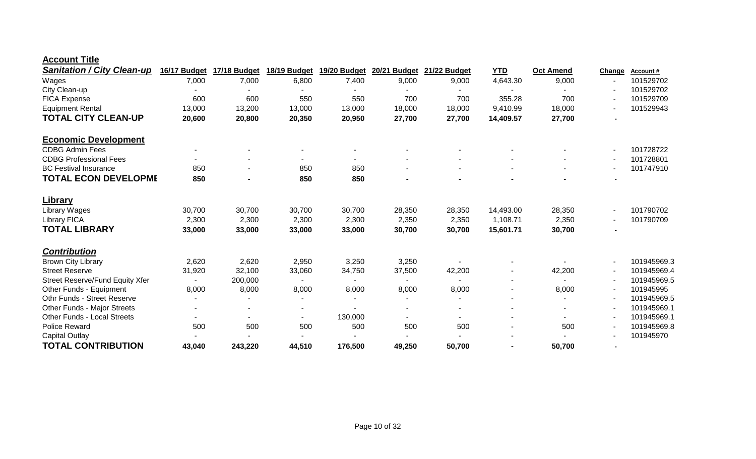| <b>Account Title</b> |              |  |
|----------------------|--------------|--|
|                      | $\mathbf{r}$ |  |

| <b>Sanitation / City Clean-up</b>      | 16/17 Budget | 17/18 Budget | 18/19 Budget | 19/20 Budget | 20/21 Budget   | 21/22 Budget   | <b>YTD</b> | <b>Oct Amend</b> | Change | Account#    |
|----------------------------------------|--------------|--------------|--------------|--------------|----------------|----------------|------------|------------------|--------|-------------|
| Wages                                  | 7,000        | 7,000        | 6,800        | 7,400        | 9,000          | 9,000          | 4,643.30   | 9,000            |        | 101529702   |
| City Clean-up                          |              |              |              |              |                |                |            |                  |        | 101529702   |
| FICA Expense                           | 600          | 600          | 550          | 550          | 700            | 700            | 355.28     | 700              |        | 101529709   |
| <b>Equipment Rental</b>                | 13,000       | 13,200       | 13,000       | 13,000       | 18,000         | 18,000         | 9,410.99   | 18,000           |        | 101529943   |
| <b>TOTAL CITY CLEAN-UP</b>             | 20,600       | 20,800       | 20,350       | 20,950       | 27,700         | 27,700         | 14,409.57  | 27,700           |        |             |
| <b>Economic Development</b>            |              |              |              |              |                |                |            |                  |        |             |
| <b>CDBG Admin Fees</b>                 |              |              |              |              |                |                |            |                  |        | 101728722   |
| <b>CDBG Professional Fees</b>          |              |              |              |              |                |                |            |                  |        | 101728801   |
| <b>BC Festival Insurance</b>           | 850          |              | 850          | 850          |                | $\blacksquare$ |            |                  |        | 101747910   |
| <b>TOTAL ECON DEVELOPME</b>            | 850          |              | 850          | 850          |                |                |            |                  |        |             |
| <b>Library</b>                         |              |              |              |              |                |                |            |                  |        |             |
| Library Wages                          | 30,700       | 30,700       | 30,700       | 30,700       | 28,350         | 28,350         | 14,493.00  | 28,350           |        | 101790702   |
| <b>Library FICA</b>                    | 2,300        | 2,300        | 2,300        | 2,300        | 2,350          | 2,350          | 1,108.71   | 2,350            |        | 101790709   |
| <b>TOTAL LIBRARY</b>                   | 33,000       | 33,000       | 33,000       | 33,000       | 30,700         | 30,700         | 15,601.71  | 30,700           |        |             |
| <b>Contribution</b>                    |              |              |              |              |                |                |            |                  |        |             |
| <b>Brown City Library</b>              | 2,620        | 2,620        | 2,950        | 3,250        | 3,250          |                |            |                  |        | 101945969.3 |
| <b>Street Reserve</b>                  | 31,920       | 32,100       | 33,060       | 34,750       | 37,500         | 42,200         |            | 42,200           |        | 101945969.4 |
| <b>Street Reserve/Fund Equity Xfer</b> |              | 200,000      |              |              |                |                |            |                  |        | 101945969.5 |
| Other Funds - Equipment                | 8,000        | 8,000        | 8,000        | 8,000        | 8,000          | 8,000          |            | 8,000            |        | 101945995   |
| Othr Funds - Street Reserve            |              |              |              |              |                |                |            |                  |        | 101945969.5 |
| Other Funds - Major Streets            |              |              |              |              |                |                |            |                  |        | 101945969.1 |
| <b>Other Funds - Local Streets</b>     |              |              |              | 130,000      | $\blacksquare$ | ۰              |            |                  |        | 101945969.1 |
| <b>Police Reward</b>                   | 500          | 500          | 500          | 500          | 500            | 500            |            | 500              |        | 101945969.8 |
| Capital Outlay                         |              |              |              |              |                |                |            |                  |        | 101945970   |
| <b>TOTAL CONTRIBUTION</b>              | 43,040       | 243,220      | 44,510       | 176,500      | 49,250         | 50,700         |            | 50,700           |        |             |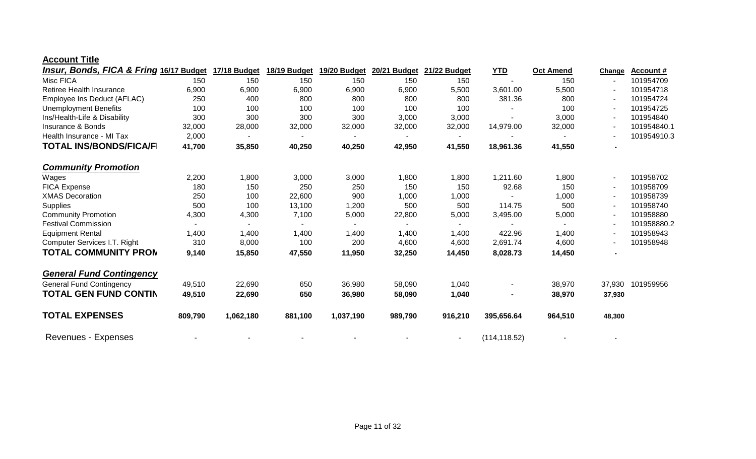#### **Account Title**

| <b>Insur, Bonds, FICA &amp; Fring 16/17 Budget</b> |         | 17/18 Budget | 18/19 Budget   | 19/20 Budget   | 20/21 Budget | 21/22 Budget             | <u>YTD</u>    | <b>Oct Amend</b> | Change | <b>Account #</b> |
|----------------------------------------------------|---------|--------------|----------------|----------------|--------------|--------------------------|---------------|------------------|--------|------------------|
| Misc FICA                                          | 150     | 150          | 150            | 150            | 150          | 150                      |               | 150              |        | 101954709        |
| Retiree Health Insurance                           | 6,900   | 6,900        | 6,900          | 6,900          | 6,900        | 5,500                    | 3,601.00      | 5,500            |        | 101954718        |
| Employee Ins Deduct (AFLAC)                        | 250     | 400          | 800            | 800            | 800          | 800                      | 381.36        | 800              |        | 101954724        |
| <b>Unemployment Benefits</b>                       | 100     | 100          | 100            | 100            | 100          | 100                      |               | 100              |        | 101954725        |
| Ins/Health-Life & Disability                       | 300     | 300          | 300            | 300            | 3,000        | 3,000                    |               | 3,000            |        | 101954840        |
| <b>Insurance &amp; Bonds</b>                       | 32,000  | 28,000       | 32,000         | 32,000         | 32,000       | 32,000                   | 14,979.00     | 32,000           |        | 101954840.1      |
| Health Insurance - MI Tax                          | 2,000   |              |                |                |              | $\blacksquare$           |               |                  |        | 101954910.3      |
| <b>TOTAL INS/BONDS/FICA/F</b>                      | 41,700  | 35,850       | 40,250         | 40,250         | 42,950       | 41,550                   | 18,961.36     | 41,550           |        |                  |
| <b>Community Promotion</b>                         |         |              |                |                |              |                          |               |                  |        |                  |
| Wages                                              | 2,200   | 1,800        | 3,000          | 3,000          | 1,800        | 1,800                    | 1,211.60      | 1,800            |        | 101958702        |
| <b>FICA Expense</b>                                | 180     | 150          | 250            | 250            | 150          | 150                      | 92.68         | 150              |        | 101958709        |
| <b>XMAS Decoration</b>                             | 250     | 100          | 22,600         | 900            | 1,000        | 1,000                    |               | 1,000            |        | 101958739        |
| Supplies                                           | 500     | 100          | 13,100         | 1,200          | 500          | 500                      | 114.75        | 500              |        | 101958740        |
| <b>Community Promotion</b>                         | 4,300   | 4,300        | 7,100          | 5,000          | 22,800       | 5,000                    | 3,495.00      | 5,000            |        | 101958880        |
| <b>Festival Commission</b>                         |         |              | $\blacksquare$ | $\blacksquare$ |              | $\overline{\phantom{0}}$ |               |                  |        | 101958880.2      |
| <b>Equipment Rental</b>                            | 1,400   | 1,400        | 1,400          | 1,400          | 1,400        | 1,400                    | 422.96        | 1,400            |        | 101958943        |
| Computer Services I.T. Right                       | 310     | 8,000        | 100            | 200            | 4,600        | 4,600                    | 2,691.74      | 4,600            |        | 101958948        |
| <b>TOTAL COMMUNITY PRON</b>                        | 9,140   | 15,850       | 47,550         | 11,950         | 32,250       | 14,450                   | 8,028.73      | 14,450           |        |                  |
| <b>General Fund Contingency</b>                    |         |              |                |                |              |                          |               |                  |        |                  |
| <b>General Fund Contingency</b>                    | 49,510  | 22,690       | 650            | 36,980         | 58,090       | 1,040                    |               | 38,970           | 37,930 | 101959956        |
| <b>TOTAL GEN FUND CONTIN</b>                       | 49,510  | 22,690       | 650            | 36,980         | 58,090       | 1,040                    |               | 38,970           | 37,930 |                  |
| <b>TOTAL EXPENSES</b>                              | 809,790 | 1,062,180    | 881,100        | 1,037,190      | 989,790      | 916,210                  | 395,656.64    | 964,510          | 48,300 |                  |
| Revenues - Expenses                                |         |              |                |                |              | $\blacksquare$           | (114, 118.52) |                  |        |                  |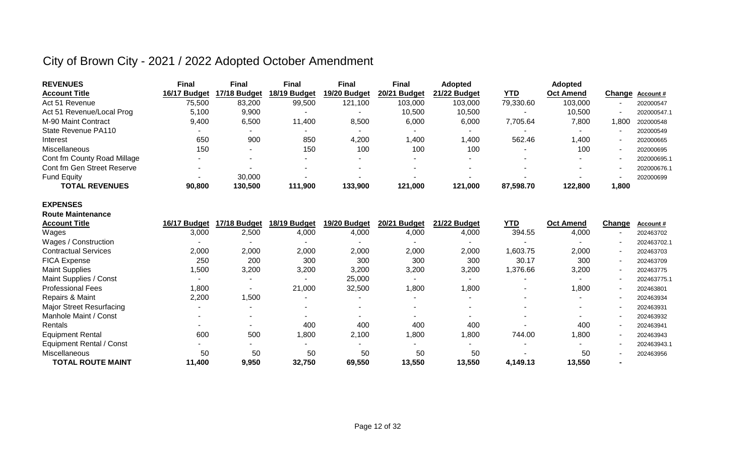| <b>REVENUES</b>             | Final        | Final        | <b>Final</b> | <b>Final</b> | Final        | <b>Adopted</b> |            | Adopted          |                          |                 |
|-----------------------------|--------------|--------------|--------------|--------------|--------------|----------------|------------|------------------|--------------------------|-----------------|
| <b>Account Title</b>        | 16/17 Budget | 17/18 Budget | 18/19 Budget | 19/20 Budget | 20/21 Budget | 21/22 Budget   | <u>YTD</u> | <b>Oct Amend</b> |                          | Change Account# |
| Act 51 Revenue              | 75,500       | 83,200       | 99,500       | 121,100      | 103,000      | 103,000        | 79,330.60  | 103,000          |                          | 202000547       |
| Act 51 Revenue/Local Prog   | 5.100        | 9,900        | -            |              | 10,500       | 10,500         |            | 10,500           | $\overline{\phantom{a}}$ | 202000547.1     |
| M-90 Maint Contract         | 9,400        | 6,500        | 11.400       | 8,500        | 6,000        | 6,000          | 7,705.64   | 7,800            | .800                     | 202000548       |
| State Revenue PA110         |              |              |              |              | $\sim$       |                |            |                  |                          | 202000549       |
| Interest                    | 650          | 900          | 850          | 4,200        | 400, ا       | .400           | 562.46     | 400. ا           |                          | 202000665       |
| <b>Miscellaneous</b>        | 150          |              | 150          | 100          | 100          | 100            |            | 100              |                          | 202000695       |
| Cont fm County Road Millage |              |              |              |              |              |                |            |                  |                          | 202000695.1     |
| Cont fm Gen Street Reserve  |              |              | -            |              |              |                |            |                  |                          | 202000676.1     |
| <b>Fund Equity</b>          |              | 30,000       |              |              |              |                |            |                  |                          | 202000699       |
| <b>TOTAL REVENUES</b>       | 90,800       | 130,500      | 111,900      | 133,900      | 121,000      | 121.000        | 87,598.70  | 122,800          | 1,800                    |                 |

#### **EXPENSES**

| <b>Route Maintenance</b>        |                          |              |              |              |                          |              |            |                  |                |                  |
|---------------------------------|--------------------------|--------------|--------------|--------------|--------------------------|--------------|------------|------------------|----------------|------------------|
| <b>Account Title</b>            | 16/17 Budget             | 17/18 Budget | 18/19 Budget | 19/20 Budget | 20/21<br><b>Budget</b>   | 21/22 Budget | <u>YTD</u> | <b>Oct Amend</b> | Change         | <b>Account #</b> |
| Wages                           | 3,000                    | 2,500        | 4,000        | 4,000        | 4,000                    | 4,000        | 394.55     | 4,000            | ۰              | 202463702        |
| Wages / Construction            |                          |              |              |              |                          |              |            |                  | ٠              | 202463702.1      |
| <b>Contractual Services</b>     | 2,000                    | 2,000        | 2,000        | 2,000        | 2,000                    | 2,000        | 1,603.75   | 2,000            | $\sim$         | 202463703        |
| <b>FICA Expense</b>             | 250                      | 200          | 300          | 300          | 300                      | 300          | 30.17      | 300              | ۰              | 202463709        |
| <b>Maint Supplies</b>           | 1,500                    | 3,200        | 3,200        | 3,200        | 3,200                    | 3,200        | 1,376.66   | 3,200            | $\sim$         | 202463775        |
| Maint Supplies / Const          |                          |              |              | 25,000       |                          |              |            |                  | ۰              | 202463775.1      |
| <b>Professional Fees</b>        | 1,800                    |              | 21,000       | 32,500       | 1,800                    | 1,800        |            | 1,800            | $\sim$         | 202463801        |
| Repairs & Maint                 | 2,200                    | ,500         |              |              |                          |              |            |                  | ٠              | 202463934        |
| <b>Major Street Resurfacing</b> | $\overline{\phantom{0}}$ |              |              |              |                          |              |            |                  | ٠              | 202463931        |
| Manhole Maint / Const           |                          |              | $\sim$       |              | $\overline{\phantom{0}}$ |              |            |                  | ۰              | 202463932        |
| Rentals                         |                          |              | 400          | 400          | 400                      | 400          |            | 400              | $\blacksquare$ | 202463941        |
| <b>Equipment Rental</b>         | 600                      | 500          | 1,800        | 2,100        | 1,800                    | 1,800        | 744.00     | 1,800            | $\sim$         | 202463943        |
| <b>Equipment Rental / Const</b> |                          |              |              |              |                          |              |            |                  | ٠              | 202463943.1      |
| <b>Miscellaneous</b>            | 50                       | 50           | 50           | 50           | 50                       | 50           |            | 50               | ۰              | 202463956        |
| <b>TOTAL ROUTE MAINT</b>        | 11,400                   | 9,950        | 32,750       | 69,550       | 13,550                   | 13,550       | 4,149.13   | 13,550           | $\blacksquare$ |                  |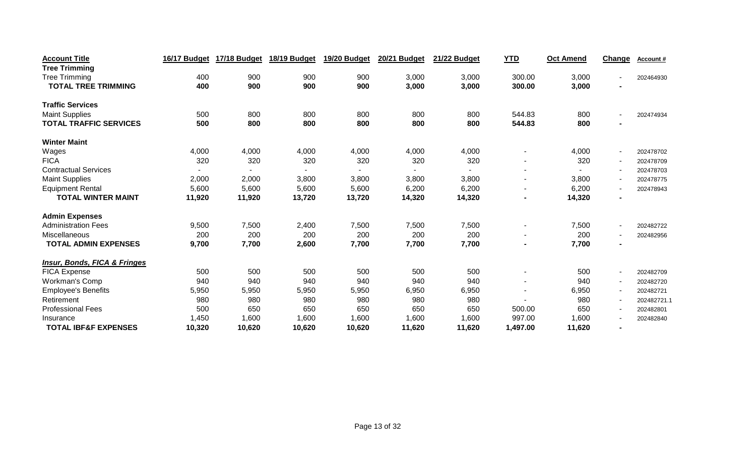| <b>Account Title</b>                    | 16/17 Budget | 17/18 Budget | 18/19 Budget | 19/20 Budget | 20/21 Budget | 21/22 Budget | <b>YTD</b>     | Oct Amend | Change                   | Account#    |
|-----------------------------------------|--------------|--------------|--------------|--------------|--------------|--------------|----------------|-----------|--------------------------|-------------|
| <b>Tree Trimming</b>                    |              |              |              |              |              |              |                |           |                          |             |
| <b>Tree Trimming</b>                    | 400          | 900          | 900          | 900          | 3,000        | 3,000        | 300.00         | 3,000     | $\overline{\phantom{a}}$ | 202464930   |
| <b>TOTAL TREE TRIMMING</b>              | 400          | 900          | 900          | 900          | 3,000        | 3,000        | 300.00         | 3,000     |                          |             |
| <b>Traffic Services</b>                 |              |              |              |              |              |              |                |           |                          |             |
| <b>Maint Supplies</b>                   | 500          | 800          | 800          | 800          | 800          | 800          | 544.83         | 800       | $\overline{\phantom{a}}$ | 202474934   |
| <b>TOTAL TRAFFIC SERVICES</b>           | 500          | 800          | 800          | 800          | 800          | 800          | 544.83         | 800       |                          |             |
| <b>Winter Maint</b>                     |              |              |              |              |              |              |                |           |                          |             |
| Wages                                   | 4,000        | 4,000        | 4,000        | 4,000        | 4,000        | 4,000        |                | 4,000     | $\blacksquare$           | 202478702   |
| <b>FICA</b>                             | 320          | 320          | 320          | 320          | 320          | 320          |                | 320       | $\sim$                   | 202478709   |
| <b>Contractual Services</b>             |              |              |              |              |              |              |                |           | $\overline{\phantom{a}}$ | 202478703   |
| <b>Maint Supplies</b>                   | 2,000        | 2,000        | 3,800        | 3,800        | 3,800        | 3,800        | $\blacksquare$ | 3,800     | $\sim$                   | 202478775   |
| <b>Equipment Rental</b>                 | 5,600        | 5,600        | 5,600        | 5,600        | 6,200        | 6,200        |                | 6,200     | $\overline{\phantom{a}}$ | 202478943   |
| <b>TOTAL WINTER MAINT</b>               | 11,920       | 11,920       | 13,720       | 13,720       | 14,320       | 14,320       |                | 14,320    | $\blacksquare$           |             |
| <b>Admin Expenses</b>                   |              |              |              |              |              |              |                |           |                          |             |
| <b>Administration Fees</b>              | 9,500        | 7,500        | 2,400        | 7,500        | 7,500        | 7,500        |                | 7,500     | $\overline{\phantom{a}}$ | 202482722   |
| <b>Miscellaneous</b>                    | 200          | 200          | 200          | 200          | 200          | 200          |                | 200       | $\overline{\phantom{a}}$ | 202482956   |
| <b>TOTAL ADMIN EXPENSES</b>             | 9,700        | 7,700        | 2,600        | 7,700        | 7,700        | 7,700        |                | 7,700     | $\blacksquare$           |             |
| <b>Insur, Bonds, FICA &amp; Fringes</b> |              |              |              |              |              |              |                |           |                          |             |
| FICA Expense                            | 500          | 500          | 500          | 500          | 500          | 500          |                | 500       | $\overline{\phantom{a}}$ | 202482709   |
| <b>Workman's Comp</b>                   | 940          | 940          | 940          | 940          | 940          | 940          |                | 940       | $\overline{\phantom{a}}$ | 202482720   |
| <b>Employee's Benefits</b>              | 5,950        | 5,950        | 5,950        | 5,950        | 6,950        | 6,950        |                | 6,950     | $\overline{\phantom{a}}$ | 202482721   |
| Retirement                              | 980          | 980          | 980          | 980          | 980          | 980          |                | 980       | $\overline{\phantom{a}}$ | 202482721.1 |
| <b>Professional Fees</b>                | 500          | 650          | 650          | 650          | 650          | 650          | 500.00         | 650       | $\sim$                   | 202482801   |
| Insurance                               | 1,450        | 1,600        | 1,600        | 1,600        | 1,600        | 1,600        | 997.00         | 1,600     | $\overline{\phantom{a}}$ | 202482840   |
| <b>TOTAL IBF&amp;F EXPENSES</b>         | 10,320       | 10,620       | 10,620       | 10,620       | 11,620       | 11,620       | 1,497.00       | 11,620    |                          |             |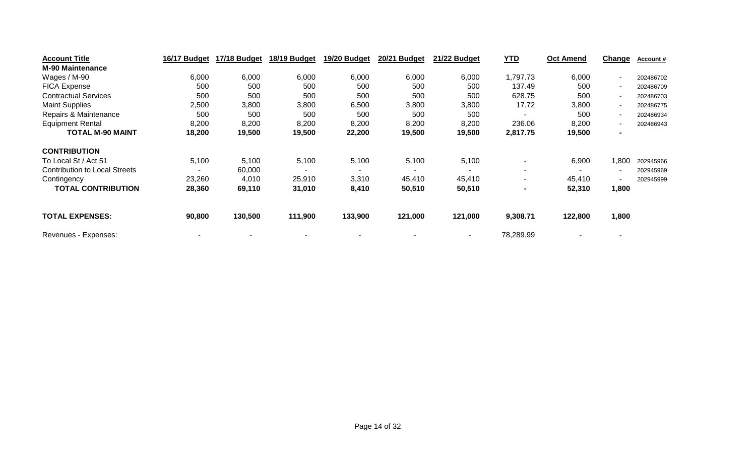| <b>Account Title</b>                 | 16/17 Budget | 17/18 Budget | 18/19 Budget   | 19/20 Budget             | 20/21 Budget | 21/22 Budget   | <b>YTD</b> | <b>Oct Amend</b> | <b>Change</b>  | Account # |
|--------------------------------------|--------------|--------------|----------------|--------------------------|--------------|----------------|------------|------------------|----------------|-----------|
| <b>M-90 Maintenance</b>              |              |              |                |                          |              |                |            |                  |                |           |
| Wages / M-90                         | 6,000        | 6,000        | 6,000          | 6,000                    | 6,000        | 6,000          | 1,797.73   | 6,000            | ٠              | 202486702 |
| <b>FICA Expense</b>                  | 500          | 500          | 500            | 500                      | 500          | 500            | 137.49     | 500              | ۰.             | 202486709 |
| <b>Contractual Services</b>          | 500          | 500          | 500            | 500                      | 500          | 500            | 628.75     | 500              | ۰.             | 202486703 |
| <b>Maint Supplies</b>                | 2,500        | 3,800        | 3,800          | 6,500                    | 3,800        | 3,800          | 17.72      | 3,800            | ۰.             | 202486775 |
| Repairs & Maintenance                | 500          | 500          | 500            | 500                      | 500          | 500            |            | 500              | ۰.             | 202486934 |
| <b>Equipment Rental</b>              | 8,200        | 8,200        | 8,200          | 8,200                    | 8,200        | 8,200          | 236.06     | 8,200            |                | 202486943 |
| <b>TOTAL M-90 MAINT</b>              | 18,200       | 19,500       | 19,500         | 22,200                   | 19,500       | 19,500         | 2,817.75   | 19,500           | $\blacksquare$ |           |
| <b>CONTRIBUTION</b>                  |              |              |                |                          |              |                |            |                  |                |           |
| To Local St / Act 51                 | 5,100        | 5,100        | 5,100          | 5,100                    | 5,100        | 5,100          |            | 6,900            | ,800           | 202945966 |
| <b>Contribution to Local Streets</b> |              | 60,000       | $\blacksquare$ | $\overline{\phantom{0}}$ | ۰            | $\blacksquare$ |            |                  | ٠              | 202945969 |
| Contingency                          | 23,260       | 4,010        | 25,910         | 3,310                    | 45,410       | 45,410         |            | 45,410           | ٠              | 202945999 |
| <b>TOTAL CONTRIBUTION</b>            | 28,360       | 69,110       | 31,010         | 8,410                    | 50,510       | 50,510         |            | 52,310           | 1,800          |           |
| <b>TOTAL EXPENSES:</b>               | 90,800       | 130,500      | 111,900        | 133,900                  | 121,000      | 121,000        | 9,308.71   | 122,800          | 1,800          |           |
| Revenues - Expenses:                 |              |              |                |                          |              |                | 78,289.99  |                  |                |           |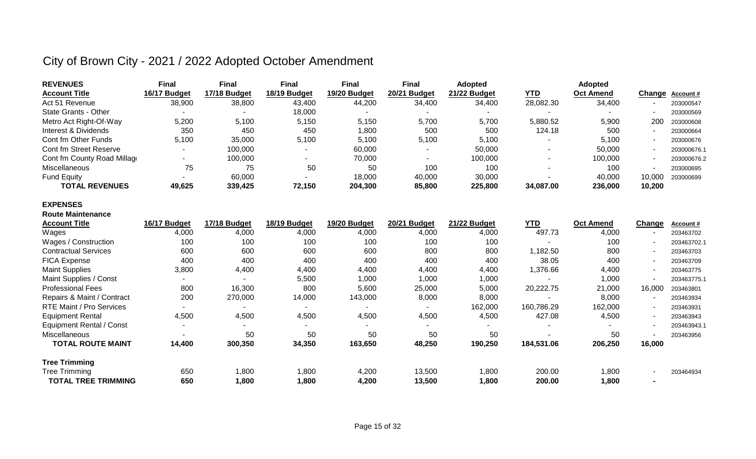| <b>REVENUES</b>             | Final        | <b>Final</b> | <b>Final</b> | <b>Final</b> | Final        | <b>Adopted</b> |            | <b>Adopted</b>   |        |                  |
|-----------------------------|--------------|--------------|--------------|--------------|--------------|----------------|------------|------------------|--------|------------------|
| <b>Account Title</b>        | 16/17 Budget | 17/18 Budget | 18/19 Budget | 19/20 Budget | 20/21 Budget | 21/22 Budget   | <u>YTD</u> | <b>Oct Amend</b> |        | Change Account # |
| Act 51 Revenue              | 38,900       | 38,800       | 43,400       | 44,200       | 34,400       | 34,400         | 28,082.30  | 34,400           |        | 203000547        |
| State Grants - Other        |              |              | 18,000       |              |              |                |            |                  |        | 203000569        |
| Metro Act Right-Of-Way      | 5,200        | 5,100        | 5,150        | 5,150        | 5,700        | 5,700          | 5,880.52   | 5,900            | 200    | 203000608        |
| Interest & Dividends        | 350          | 450          | 450          | 1,800        | 500          | 500            | 124.18     | 500              |        | 203000664        |
| Cont fm Other Funds         | 5,100        | 35,000       | 5,100        | 5,100        | 5,100        | 5,100          |            | 5.100            |        | 203000676        |
| Cont fm Street Reserve      |              | 100,000      |              | 60,000       |              | 50,000         |            | 50,000           |        | 203000676.1      |
| Cont fm County Road Millage |              | 100,000      |              | 70,000       |              | 100,000        |            | 100,000          |        | 203000676.2      |
| Miscellaneous               | 75           | 75           | 50           | 50           | 100          | 100            |            | 100              |        | 203000695        |
| <b>Fund Equity</b>          |              | 60,000       |              | 18,000       | 40,000       | 30,000         |            | 40,000           | 10.000 | 203000699        |
| <b>TOTAL REVENUES</b>       | 49,625       | 339,425      | 72,150       | 204,300      | 85,800       | 225,800        | 34.087.00  | 236,000          | 10,200 |                  |

#### **EXPENSES Route Maintenance**

| <b>Account Title</b>            | 16/17 Budget | 17/18 Budget | 18/19 Budget | 19/20 Budget | 20/21 Budget             | 21/22 Budget   | <u>YTD</u> | <b>Oct Amend</b> | Change                   | <b>Account #</b> |
|---------------------------------|--------------|--------------|--------------|--------------|--------------------------|----------------|------------|------------------|--------------------------|------------------|
| Wages                           | 4,000        | 4,000        | 4,000        | 4,000        | 4,000                    | 4,000          | 497.73     | 4,000            |                          | 203463702        |
| Wages / Construction            | 100          | 100          | 100          | 100          | 100                      | 100            |            | 100              |                          | 203463702.1      |
| <b>Contractual Services</b>     | 600          | 600          | 600          | 600          | 800                      | 800            | 1,182.50   | 800              |                          | 203463703        |
| <b>FICA Expense</b>             | 400          | 400          | 400          | 400          | 400                      | 400            | 38.05      | 400              |                          | 203463709        |
| <b>Maint Supplies</b>           | 3,800        | 4,400        | 4,400        | 4,400        | 4,400                    | 4,400          | 1,376.66   | 4,400            |                          | 203463775        |
| Maint Supplies / Const          |              |              | 5,500        | 1,000        | 1,000                    | 1,000          |            | 1,000            |                          | 203463775.1      |
| <b>Professional Fees</b>        | 800          | 16,300       | 800          | 5,600        | 25,000                   | 5,000          | 20,222.75  | 21,000           | 16,000                   | 203463801        |
| Repairs & Maint / Contract      | 200          | 270,000      | 14,000       | 143,000      | 8,000                    | 8,000          |            | 8,000            |                          | 203463934        |
| <b>RTE Maint / Pro Services</b> |              | ۰            |              |              | $\overline{\phantom{0}}$ | 162,000        | 160,786.29 | 162,000          |                          | 203463931        |
| <b>Equipment Rental</b>         | 4,500        | 4,500        | 4,500        | 4,500        | 4,500                    | 4,500          | 427.08     | 4,500            |                          | 203463943        |
| Equipment Rental / Const        |              |              | . .          |              | $\blacksquare$           | $\blacksquare$ |            |                  |                          | 203463943.1      |
| <b>Miscellaneous</b>            |              | 50           | 50           | 50           | 50                       | 50             |            | 50               |                          | 203463956        |
| <b>TOTAL ROUTE MAINT</b>        | 14,400       | 300,350      | 34,350       | 163,650      | 48,250                   | 190,250        | 184,531.06 | 206,250          | 16,000                   |                  |
| <b>Tree Trimming</b>            |              |              |              |              |                          |                |            |                  |                          |                  |
| <b>Tree Trimming</b>            | 650          | 1,800        | 1,800        | 4,200        | 13,500                   | 1,800          | 200.00     | 1,800            | $\overline{\phantom{0}}$ | 203464934        |
| <b>TOTAL TREE TRIMMING</b>      | 650          | 1,800        | 800, ا       | 4,200        | 13,500                   | 1,800          | 200.00     | 1,800            |                          |                  |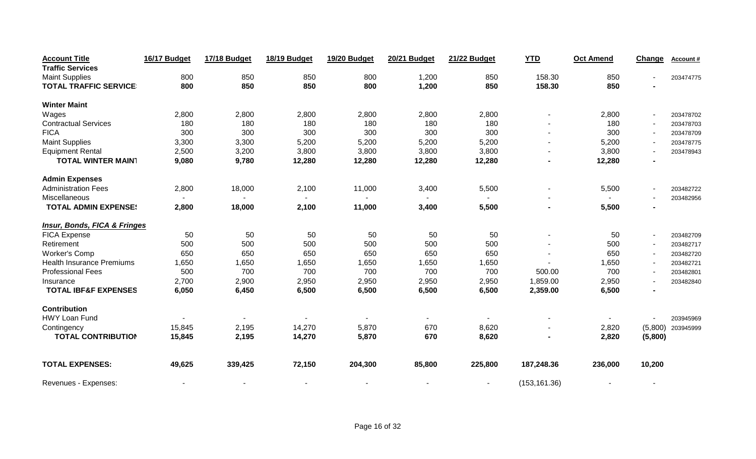| <b>Account Title</b>                    | 16/17 Budget | <b>17/18 Budget</b> | 18/19 Budget | 19/20 Budget | <b>20/21 Budget</b> | 21/22 Budget   | <b>YTD</b>    | <b>Oct Amend</b> | Change                   | Account#            |
|-----------------------------------------|--------------|---------------------|--------------|--------------|---------------------|----------------|---------------|------------------|--------------------------|---------------------|
| <b>Traffic Services</b>                 |              |                     |              |              |                     |                |               |                  |                          |                     |
| <b>Maint Supplies</b>                   | 800          | 850                 | 850          | 800          | 1,200               | 850            | 158.30        | 850              |                          | 203474775           |
| <b>TOTAL TRAFFIC SERVICE</b>            | 800          | 850                 | 850          | 800          | 1,200               | 850            | 158.30        | 850              |                          |                     |
| <b>Winter Maint</b>                     |              |                     |              |              |                     |                |               |                  |                          |                     |
| Wages                                   | 2,800        | 2,800               | 2,800        | 2,800        | 2,800               | 2,800          |               | 2,800            | $\sim$                   | 203478702           |
| <b>Contractual Services</b>             | 180          | 180                 | 180          | 180          | 180                 | 180            |               | 180              |                          | 203478703           |
| <b>FICA</b>                             | 300          | 300                 | 300          | 300          | 300                 | 300            |               | 300              |                          | 203478709           |
| <b>Maint Supplies</b>                   | 3,300        | 3,300               | 5,200        | 5,200        | 5,200               | 5,200          |               | 5,200            | $\overline{a}$           | 203478775           |
| <b>Equipment Rental</b>                 | 2,500        | 3,200               | 3,800        | 3,800        | 3,800               | 3,800          |               | 3,800            |                          | 203478943           |
| <b>TOTAL WINTER MAIN1</b>               | 9,080        | 9,780               | 12,280       | 12,280       | 12,280              | 12,280         |               | 12,280           |                          |                     |
| <b>Admin Expenses</b>                   |              |                     |              |              |                     |                |               |                  |                          |                     |
| <b>Administration Fees</b>              | 2,800        | 18,000              | 2,100        | 11,000       | 3,400               | 5,500          |               | 5,500            |                          | 203482722           |
| Miscellaneous                           |              |                     | $\sim$       |              |                     |                |               |                  |                          | 203482956           |
| <b>TOTAL ADMIN EXPENSE:</b>             | 2,800        | 18,000              | 2,100        | 11,000       | 3,400               | 5,500          |               | 5,500            |                          |                     |
| <b>Insur, Bonds, FICA &amp; Fringes</b> |              |                     |              |              |                     |                |               |                  |                          |                     |
| <b>FICA Expense</b>                     | 50           | 50                  | 50           | 50           | 50                  | 50             |               | 50               |                          | 203482709           |
| Retirement                              | 500          | 500                 | 500          | 500          | 500                 | 500            |               | 500              | $\overline{\phantom{a}}$ | 203482717           |
| <b>Worker's Comp</b>                    | 650          | 650                 | 650          | 650          | 650                 | 650            |               | 650              |                          | 203482720           |
| <b>Health Insurance Premiums</b>        | 1,650        | 1,650               | 1,650        | 1,650        | 1,650               | 1,650          |               | 1,650            | $\overline{\phantom{a}}$ | 203482721           |
| <b>Professional Fees</b>                | 500          | 700                 | 700          | 700          | 700                 | 700            | 500.00        | 700              |                          | 203482801           |
| Insurance                               | 2,700        | 2,900               | 2,950        | 2,950        | 2,950               | 2,950          | 1,859.00      | 2,950            |                          | 203482840           |
| <b>TOTAL IBF&amp;F EXPENSES</b>         | 6,050        | 6,450               | 6,500        | 6,500        | 6,500               | 6,500          | 2,359.00      | 6,500            |                          |                     |
| <b>Contribution</b>                     |              |                     |              |              |                     |                |               |                  |                          |                     |
| <b>HWY Loan Fund</b>                    |              |                     |              |              |                     |                |               |                  |                          | 203945969           |
| Contingency                             | 15,845       | 2,195               | 14,270       | 5,870        | 670                 | 8,620          |               | 2,820            |                          | $(5,800)$ 203945999 |
| <b>TOTAL CONTRIBUTION</b>               | 15,845       | 2,195               | 14,270       | 5,870        | 670                 | 8,620          |               | 2,820            | (5,800)                  |                     |
| <b>TOTAL EXPENSES:</b>                  | 49,625       | 339,425             | 72,150       | 204,300      | 85,800              | 225,800        | 187,248.36    | 236,000          | 10,200                   |                     |
| Revenues - Expenses:                    |              |                     |              |              |                     | $\blacksquare$ | (153, 161.36) |                  |                          |                     |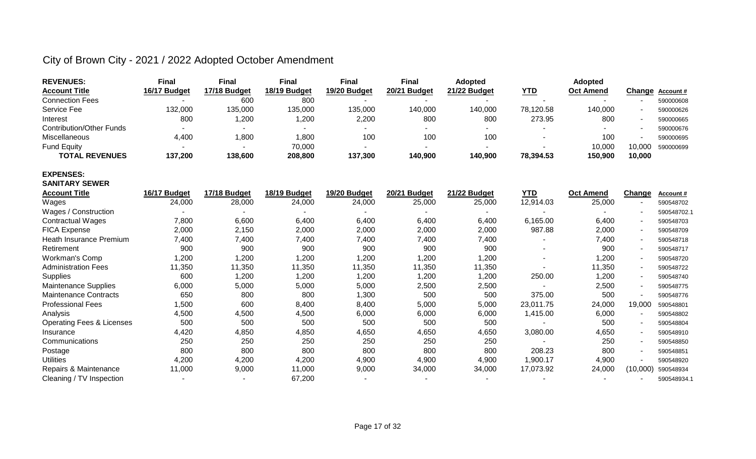| <b>REVENUES:</b>                     | <b>Final</b>   | <b>Final</b> | <b>Final</b> | <b>Final</b> | <b>Final</b>        | <b>Adopted</b> |            | <b>Adopted</b>   |          |                  |
|--------------------------------------|----------------|--------------|--------------|--------------|---------------------|----------------|------------|------------------|----------|------------------|
| <b>Account Title</b>                 | 16/17 Budget   | 17/18 Budget | 18/19 Budget | 19/20 Budget | <b>20/21 Budget</b> | 21/22 Budget   | <u>YTD</u> | Oct Amend        | Change   | <b>Account #</b> |
| <b>Connection Fees</b>               |                | 600          | 800          |              |                     |                |            |                  |          | 590000608        |
| Service Fee                          | 132,000        | 135,000      | 135,000      | 135,000      | 140,000             | 140,000        | 78,120.58  | 140,000          |          | 590000626        |
| Interest                             | 800            | 1,200        | 1,200        | 2,200        | 800                 | 800            | 273.95     | 800              |          | 590000665        |
| <b>Contribution/Other Funds</b>      |                |              |              |              |                     | $\sim$         |            |                  |          | 590000676        |
| Miscellaneous                        | 4,400          | 1,800        | 1,800        | 100          | 100                 | 100            |            | 100              |          | 590000695        |
| <b>Fund Equity</b>                   |                |              | 70,000       |              |                     |                |            | 10,000           | 10,000   | 590000699        |
| <b>TOTAL REVENUES</b>                | 137,200        | 138,600      | 208,800      | 137,300      | 140,900             | 140,900        | 78,394.53  | 150,900          | 10,000   |                  |
| <b>EXPENSES:</b>                     |                |              |              |              |                     |                |            |                  |          |                  |
| <b>SANITARY SEWER</b>                |                |              |              |              |                     |                |            |                  |          |                  |
| <b>Account Title</b>                 | 16/17 Budget   | 17/18 Budget | 18/19 Budget | 19/20 Budget | 20/21 Budget        | 21/22 Budget   | <b>YTD</b> | <b>Oct Amend</b> | Change   | Account#         |
| Wages                                | 24,000         | 28,000       | 24,000       | 24,000       | 25,000              | 25,000         | 12,914.03  | 25,000           |          | 590548702        |
| Wages / Construction                 |                |              |              |              |                     |                |            |                  |          | 590548702.1      |
| <b>Contractual Wages</b>             | 7,800          | 6,600        | 6,400        | 6,400        | 6,400               | 6,400          | 6,165.00   | 6,400            |          | 590548703        |
| FICA Expense                         | 2,000          | 2,150        | 2,000        | 2,000        | 2,000               | 2,000          | 987.88     | 2,000            |          | 590548709        |
| Heath Insurance Premium              | 7,400          | 7,400        | 7,400        | 7,400        | 7,400               | 7,400          |            | 7,400            |          | 590548718        |
| Retirement                           | 900            | 900          | 900          | 900          | 900                 | 900            |            | 900              |          | 590548717        |
| <b>Workman's Comp</b>                | 1,200          | 1,200        | 1,200        | 1,200        | 1,200               | 1,200          |            | 1,200            |          | 590548720        |
| <b>Administration Fees</b>           | 11,350         | 11,350       | 11,350       | 11,350       | 11,350              | 11,350         |            | 11,350           |          | 590548722        |
| <b>Supplies</b>                      | 600            | 1,200        | 1,200        | 1,200        | 1,200               | 1,200          | 250.00     | 1,200            |          | 590548740        |
| Maintenance Supplies                 | 6,000          | 5,000        | 5,000        | 5,000        | 2,500               | 2,500          |            | 2,500            |          | 590548775        |
| <b>Maintenance Contracts</b>         | 650            | 800          | 800          | 1,300        | 500                 | 500            | 375.00     | 500              |          | 590548776        |
| <b>Professional Fees</b>             | 1,500          | 600          | 8,400        | 8,400        | 5,000               | 5,000          | 23,011.75  | 24,000           | 19,000   | 590548801        |
| Analysis                             | 4,500          | 4,500        | 4,500        | 6,000        | 6,000               | 6,000          | 1,415.00   | 6,000            |          | 590548802        |
| <b>Operating Fees &amp; Licenses</b> | 500            | 500          | 500          | 500          | 500                 | 500            |            | 500              |          | 590548804        |
| Insurance                            | 4,420          | 4,850        | 4,850        | 4,650        | 4,650               | 4,650          | 3,080.00   | 4,650            |          | 590548910        |
| Communications                       | 250            | 250          | 250          | 250          | 250                 | 250            |            | 250              |          | 590548850        |
| Postage                              | 800            | 800          | 800          | 800          | 800                 | 800            | 208.23     | 800              |          | 590548851        |
| <b>Utilities</b>                     | 4,200          | 4,200        | 4,200        | 4,900        | 4,900               | 4,900          | 1,900.17   | 4,900            |          | 590548920        |
| Repairs & Maintenance                | 11,000         | 9,000        | 11,000       | 9,000        | 34,000              | 34,000         | 17,073.92  | 24,000           | (10,000) | 590548934        |
| Cleaning / TV Inspection             | $\blacksquare$ |              | 67,200       |              |                     |                |            |                  |          | 590548934.1      |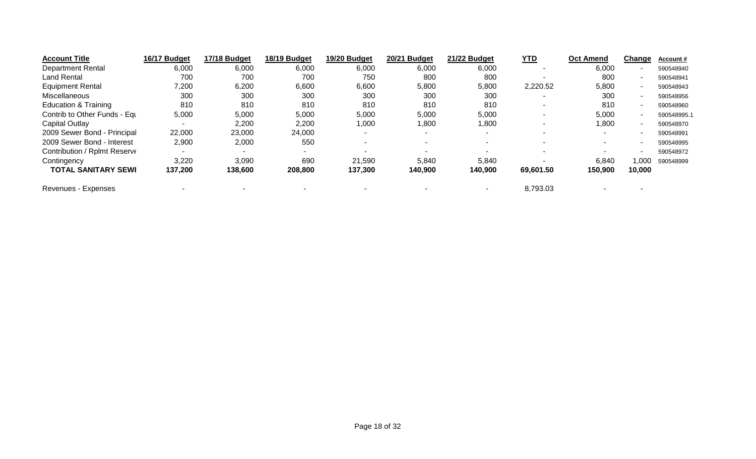| <b>Account Title</b>            | 16/17 Budget | 17/18 Budget | 18/19 Budget             | 19/20 Budget | 20/21 Budget | 21/22 Budget             | <u>YTD</u> | <b>Oct Amend</b> | Change | <b>Account #</b> |
|---------------------------------|--------------|--------------|--------------------------|--------------|--------------|--------------------------|------------|------------------|--------|------------------|
| <b>Department Rental</b>        | 6,000        | 6,000        | 6,000                    | 6,000        | 6,000        | 6,000                    |            | 6,000            |        | 590548940        |
| <b>Land Rental</b>              | 700          | 700          | 700                      | 750          | 800          | 800                      |            | 800              |        | 590548941        |
| <b>Equipment Rental</b>         | 7,200        | 6,200        | 6,600                    | 6,600        | 5,800        | 5,800                    | 2,220.52   | 5,800            |        | 590548943        |
| Miscellaneous                   | 300          | 300          | 300                      | 300          | 300          | 300                      |            | 300              |        | 590548956        |
| <b>Education &amp; Training</b> | 810          | 810          | 810                      | 810          | 810          | 810                      |            | 810              |        | 590548960        |
| Contrib to Other Funds - Equ    | 5,000        | 5,000        | 5,000                    | 5,000        | 5,000        | 5,000                    |            | 5,000            |        | 590548995.1      |
| Capital Outlay                  |              | 2,200        | 2,200                    | 1,000        | 1,800        | <b>008,1</b>             |            | 1,800            |        | 590548970        |
| 2009 Sewer Bond - Principal     | 22,000       | 23,000       | 24,000                   |              | -            | $\overline{\phantom{0}}$ |            | $\sim$           |        | 590548991        |
| 2009 Sewer Bond - Interest      | 2,900        | 2,000        | 550                      |              |              |                          |            |                  |        | 590548995        |
| Contribution / Rplmt Reserve    |              |              | $\overline{\phantom{a}}$ |              |              |                          |            |                  |        | 590548972        |
| Contingency                     | 3,220        | 3,090        | 690                      | 21,590       | 5,840        | 5,840                    |            | 6,840            | 1.000  | 590548999        |
| <b>TOTAL SANITARY SEWI</b>      | 137,200      | 138,600      | 208,800                  | 137,300      | 140,900      | 140,900                  | 69,601.50  | 150,900          | 10,000 |                  |
| Revenues - Expenses             |              |              |                          |              |              |                          | 8,793.03   |                  |        |                  |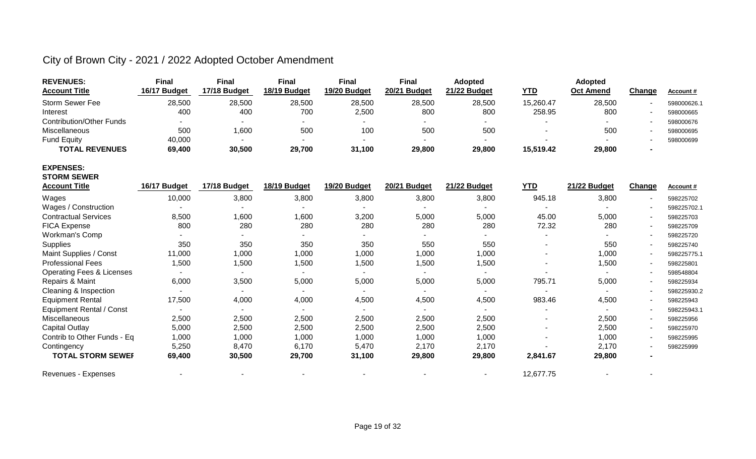| <b>REVENUES:</b>                     | <b>Final</b> | <b>Final</b> | <b>Final</b> | <b>Final</b>             | <b>Final</b>        | <b>Adopted</b> |            | <b>Adopted</b>   |               |             |
|--------------------------------------|--------------|--------------|--------------|--------------------------|---------------------|----------------|------------|------------------|---------------|-------------|
| <b>Account Title</b>                 | 16/17 Budget | 17/18 Budget | 18/19 Budget | 19/20 Budget             | <b>20/21 Budget</b> | 21/22 Budget   | <b>YTD</b> | <b>Oct Amend</b> | Change        | Account#    |
| <b>Storm Sewer Fee</b>               | 28,500       | 28,500       | 28,500       | 28,500                   | 28,500              | 28,500         | 15,260.47  | 28,500           |               | 598000626.  |
| Interest                             | 400          | 400          | 700          | 2,500                    | 800                 | 800            | 258.95     | 800              |               | 598000665   |
| <b>Contribution/Other Funds</b>      |              |              |              |                          |                     |                |            |                  |               | 598000676   |
| Miscellaneous                        | 500          | 1,600        | 500          | 100                      | 500                 | 500            |            | 500              |               | 598000695   |
| <b>Fund Equity</b>                   | 40,000       |              |              |                          |                     |                |            |                  |               | 598000699   |
| <b>TOTAL REVENUES</b>                | 69,400       | 30,500       | 29,700       | 31,100                   | 29,800              | 29,800         | 15,519.42  | 29,800           |               |             |
| <b>EXPENSES:</b>                     |              |              |              |                          |                     |                |            |                  |               |             |
| <b>STORM SEWER</b>                   |              |              |              |                          |                     |                |            |                  |               |             |
| <b>Account Title</b>                 | 16/17 Budget | 17/18 Budget | 18/19 Budget | 19/20 Budget             | 20/21 Budget        | 21/22 Budget   | <b>YTD</b> | 21/22 Budget     | <b>Change</b> | Account#    |
| Wages                                | 10,000       | 3,800        | 3,800        | 3,800                    | 3,800               | 3,800          | 945.18     | 3,800            |               | 598225702   |
| Wages / Construction                 |              |              |              |                          |                     |                |            |                  |               | 598225702.1 |
| <b>Contractual Services</b>          | 8,500        | 1,600        | 1,600        | 3,200                    | 5,000               | 5,000          | 45.00      | 5,000            |               | 598225703   |
| <b>FICA Expense</b>                  | 800          | 280          | 280          | 280                      | 280                 | 280            | 72.32      | 280              |               | 598225709   |
| Workman's Comp                       |              |              |              |                          |                     |                |            |                  |               | 598225720   |
| Supplies                             | 350          | 350          | 350          | 350                      | 550                 | 550            |            | 550              |               | 598225740   |
| Maint Supplies / Const               | 11,000       | 1,000        | 1,000        | 1,000                    | 1,000               | 1,000          |            | 1,000            |               | 598225775.1 |
| <b>Professional Fees</b>             | 1,500        | 1,500        | 1,500        | 1,500                    | 1,500               | 1,500          |            | 1,500            |               | 598225801   |
| <b>Operating Fees &amp; Licenses</b> |              |              |              |                          | ٠                   |                |            |                  |               | 598548804   |
| Repairs & Maint                      | 6,000        | 3,500        | 5,000        | 5,000                    | 5,000               | 5,000          | 795.71     | 5,000            |               | 598225934   |
| Cleaning & Inspection                |              |              |              |                          |                     |                |            |                  |               | 598225930.2 |
| <b>Equipment Rental</b>              | 17,500       | 4,000        | 4,000        | 4,500                    | 4,500               | 4,500          | 983.46     | 4,500            |               | 598225943   |
| <b>Equipment Rental / Const</b>      |              |              |              | $\overline{\phantom{a}}$ |                     |                |            |                  |               | 598225943.1 |
| Miscellaneous                        | 2,500        | 2,500        | 2,500        | 2,500                    | 2,500               | 2,500          |            | 2,500            |               | 598225956   |
| Capital Outlay                       | 5,000        | 2,500        | 2,500        | 2,500                    | 2,500               | 2,500          |            | 2,500            |               | 598225970   |
| Contrib to Other Funds - Eq          | 1,000        | 1,000        | 1,000        | 1,000                    | 1,000               | 1,000          |            | 1,000            |               | 598225995   |
| Contingency                          | 5,250        | 8,470        | 6,170        | 5,470                    | 2,170               | 2,170          |            | 2,170            |               | 598225999   |
| <b>TOTAL STORM SEWEF</b>             | 69,400       | 30,500       | 29,700       | 31,100                   | 29,800              | 29,800         | 2,841.67   | 29,800           |               |             |
| Revenues - Expenses                  |              |              |              |                          |                     | $\blacksquare$ | 12,677.75  |                  |               |             |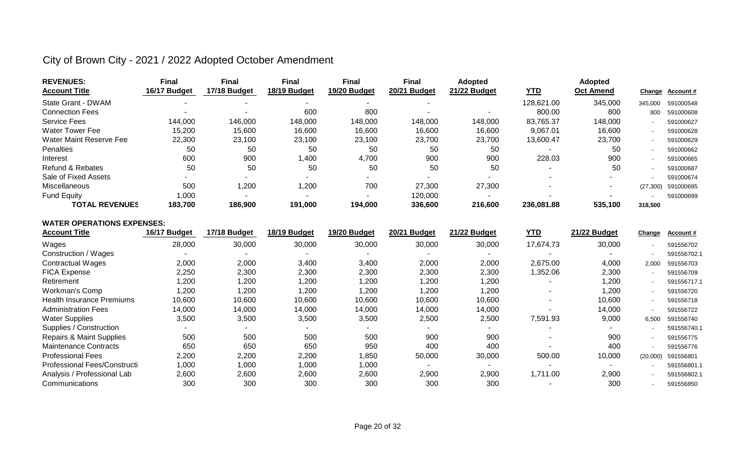| <b>REVENUES:</b>            | Final          | Final        | <b>Final</b> | <b>Final</b> | Final        | <b>Adopted</b> |            | <b>Adopted</b>   |           |                 |
|-----------------------------|----------------|--------------|--------------|--------------|--------------|----------------|------------|------------------|-----------|-----------------|
| <b>Account Title</b>        | 16/17 Budget   | 17/18 Budget | 18/19 Budget | 19/20 Budget | 20/21 Budget | 21/22 Budget   | <u>YTD</u> | <b>Oct Amend</b> |           | Change Account# |
| State Grant - DWAM          | $\blacksquare$ |              |              |              |              |                | 128,621.00 | 345,000          | 345.000   | 591000548       |
| <b>Connection Fees</b>      |                |              | 600          | 800          |              |                | 800.00     | 800              | 800       | 591000608       |
| <b>Service Fees</b>         | 144,000        | 146,000      | 148,000      | 148,000      | 148,000      | 148,000        | 83,765.37  | 148,000          |           | 591000627       |
| <b>Water Tower Fee</b>      | 15.200         | 15,600       | 16,600       | 16,600       | 16.600       | 16,600         | 9.067.01   | 16,600           |           | 591000628       |
| Water Maint Reserve Fee     | 22,300         | 23,100       | 23,100       | 23,100       | 23,700       | 23,700         | 13,600.47  | 23,700           |           | 591000629       |
| Penalties                   | 50             | 50           | 50           | 50           | 50           | 50             |            | 50               |           | 591000662       |
| Interest                    | 600            | 900          | 1,400        | 4,700        | 900          | 900            | 228.03     | 900              |           | 591000665       |
| <b>Refund &amp; Rebates</b> | 50             | 50           | 50           | 50           | 50           | 50             |            | 50               |           | 591000687       |
| Sale of Fixed Assets        |                |              |              | -            |              |                |            |                  |           | 591000674       |
| Miscellaneous               | 500            | 1,200        | 1,200        | 700          | 27,300       | 27,300         |            |                  | (27, 300) | 591000695       |
| Fund Equity                 | 000, ا         |              |              |              | 120,000      |                |            |                  |           | 591000699       |
| <b>TOTAL REVENUES</b>       | 183,700        | 186,900      | 191,000      | 194,000      | 336,600      | 216,600        | 236,081.88 | 535,100          | 318,500   |                 |

#### **WATER OPERATIONS EXPENSES:**

| <b>Account Title</b>                | 16/17 Budget | 17/18 Budget | 18/19 Budget             | 19/20 Budget | 20/21 Budget | 21/22 Budget             | <u>YTD</u>               | 21/22 Budget | Change   | Account#    |
|-------------------------------------|--------------|--------------|--------------------------|--------------|--------------|--------------------------|--------------------------|--------------|----------|-------------|
| Wages                               | 28,000       | 30,000       | 30,000                   | 30,000       | 30,000       | 30,000                   | 17,674.73                | 30,000       |          | 591556702   |
| Construction / Wages                |              | -            | $\overline{\phantom{a}}$ |              |              | $\overline{\phantom{0}}$ | ۰                        |              |          | 591556702.1 |
| <b>Contractual Wages</b>            | 2,000        | 2,000        | 3,400                    | 3,400        | 2,000        | 2,000                    | 2,675.00                 | 4,000        | 2,000    | 591556703   |
| <b>FICA Expense</b>                 | 2,250        | 2,300        | 2,300                    | 2,300        | 2,300        | 2,300                    | 1,352.06                 | 2,300        |          | 591556709   |
| Retirement                          | 1,200        | ,200         | 1,200                    | 1,200        | 1,200        | 1,200                    |                          | 1,200        |          | 591556717.1 |
| <b>Workman's Comp</b>               | 1,200        | 200, ا       | 1,200                    | 200, ا       | 1,200        | 1,200                    | -                        | 1,200        |          | 591556720   |
| <b>Health Insurance Premiums</b>    | 10,600       | 10,600       | 10,600                   | 10,600       | 10,600       | 10,600                   | $\blacksquare$           | 10,600       |          | 591556718   |
| <b>Administration Fees</b>          | 14,000       | 14,000       | 14,000                   | 14,000       | 14,000       | 14,000                   |                          | 14,000       |          | 591556722   |
| <b>Water Supplies</b>               | 3,500        | 3,500        | 3,500                    | 3,500        | 2,500        | 2,500                    | 7,591.93                 | 9,000        | 6,500    | 591556740   |
| Supplies / Construction             |              |              |                          |              |              |                          |                          |              |          | 591556740.1 |
| <b>Repairs &amp; Maint Supplies</b> | 500          | 500          | 500                      | 500          | 900          | 900                      | $\overline{\phantom{0}}$ | 900          |          | 591556775   |
| <b>Maintenance Contracts</b>        | 650          | 650          | 650                      | 950          | 400          | 400                      |                          | 400          |          | 591556776   |
| <b>Professional Fees</b>            | 2,200        | 2,200        | 2,200                    | 850, ا       | 50,000       | 30,000                   | 500.00                   | 10,000       | (20,000) | 591556801   |
| Professional Fees/Constructi        | 1,000        | 1,000        | 1,000                    | 1,000        |              |                          |                          |              |          | 591556801.1 |
| Analysis / Professional Lab         | 2,600        | 2,600        | 2,600                    | 2,600        | 2,900        | 2,900                    | 1,711.00                 | 2,900        |          | 591556802.1 |
| Communications                      | <b>300</b>   | 300          | 300                      | 300          | 300          | 300                      |                          | 300          |          | 591556850   |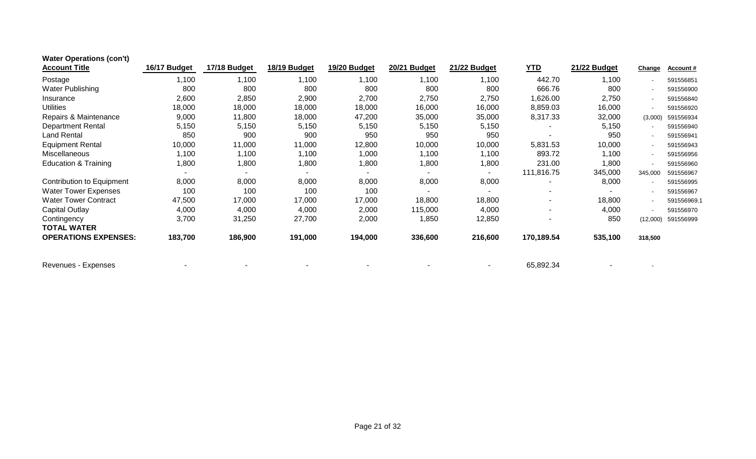| <b>Water Operations (con't)</b> |                |              |              |              |              |              |            |              |                |                  |
|---------------------------------|----------------|--------------|--------------|--------------|--------------|--------------|------------|--------------|----------------|------------------|
| <b>Account Title</b>            | 16/17 Budget   | 17/18 Budget | 18/19 Budget | 19/20 Budget | 20/21 Budget | 21/22 Budget | YID        | 21/22 Budget | Change         | <b>Account #</b> |
| Postage                         | 1,100          | 1,100        | 1,100        | 1,100        | 1,100        | 1,100        | 442.70     | 1,100        | $\blacksquare$ | 591556851        |
| Water Publishing                | 800            | 800          | 800          | 800          | 800          | 800          | 666.76     | 800          | $\blacksquare$ | 591556900        |
| Insurance                       | 2,600          | 2,850        | 2,900        | 2,700        | 2,750        | 2,750        | 1,626.00   | 2,750        |                | 591556840        |
| <b>Utilities</b>                | 18,000         | 18,000       | 18,000       | 18,000       | 16,000       | 16,000       | 8,859.03   | 16,000       | $\blacksquare$ | 591556920        |
| Repairs & Maintenance           | 9,000          | 11,800       | 18,000       | 47,200       | 35,000       | 35,000       | 8,317.33   | 32,000       | (3,000)        | 591556934        |
| <b>Department Rental</b>        | 5,150          | 5,150        | 5,150        | 5,150        | 5,150        | 5,150        |            | 5,150        | $\blacksquare$ | 591556940        |
| <b>Land Rental</b>              | 850            | 900          | 900          | 950          | 950          | 950          |            | 950          | $\blacksquare$ | 591556941        |
| <b>Equipment Rental</b>         | 10,000         | 11,000       | 11,000       | 12,800       | 10,000       | 10,000       | 5,831.53   | 10,000       |                | 591556943        |
| <b>Miscellaneous</b>            | 1,100          | 1,100        | 1,100        | 1,000        | 1,100        | 1,100        | 893.72     | 1,100        | $\blacksquare$ | 591556956        |
| <b>Education &amp; Training</b> | 1,800          | 1,800        | 1,800        | 1,800        | 1,800        | 1,800        | 231.00     | 1,800        | $\blacksquare$ | 591556960        |
|                                 | $\blacksquare$ |              |              |              |              |              | 111,816.75 | 345,000      | 345,000        | 591556967        |
| Contribution to Equipment       | 8,000          | 8,000        | 8,000        | 8,000        | 8,000        | 8,000        |            | 8,000        | $\blacksquare$ | 591556995        |
| <b>Water Tower Expenses</b>     | 100            | 100          | 100          | 100          |              |              |            |              |                | 591556967        |
| <b>Water Tower Contract</b>     | 47,500         | 17,000       | 17,000       | 17,000       | 18,800       | 18,800       |            | 18,800       |                | 591556969.1      |
| Capital Outlay                  | 4,000          | 4,000        | 4,000        | 2,000        | 115,000      | 4,000        |            | 4,000        | $\blacksquare$ | 591556970        |
| Contingency                     | 3,700          | 31,250       | 27,700       | 2,000        | 1,850        | 12,850       |            | 850          | (12,000)       | 591556999        |
| <b>TOTAL WATER</b>              |                |              |              |              |              |              |            |              |                |                  |
| <b>OPERATIONS EXPENSES:</b>     | 183,700        | 186,900      | 191,000      | 194,000      | 336,600      | 216,600      | 170,189.54 | 535,100      | 318,500        |                  |
| Revenues - Expenses             |                |              |              |              |              |              | 65,892.34  |              |                |                  |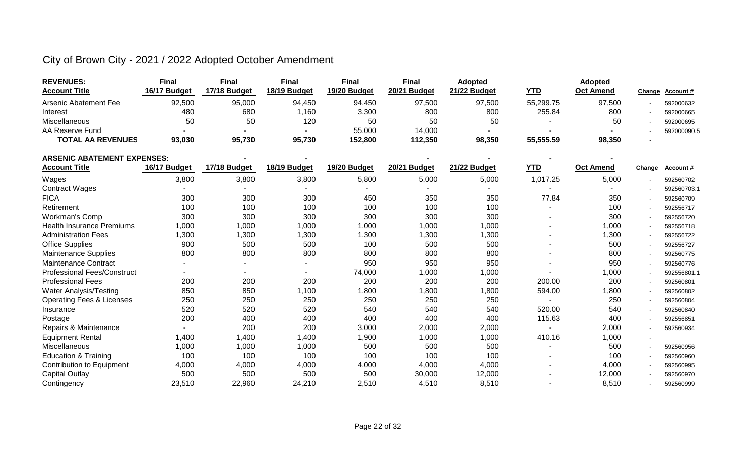| <b>REVENUES:</b>         | Final        | <b>Final</b> | Final        | Final        | <b>Final</b> | <b>Adopted</b> |            | <b>Adopted</b>   |                 |
|--------------------------|--------------|--------------|--------------|--------------|--------------|----------------|------------|------------------|-----------------|
| <b>Account Title</b>     | 16/17 Budget | 17/18 Budget | 18/19 Budget | 19/20 Budget | 20/21 Budget | 21/22 Budget   | <u>YTD</u> | <b>Oct Amend</b> | Change Account# |
| Arsenic Abatement Fee    | 92,500       | 95,000       | 94,450       | 94,450       | 97,500       | 97,500         | 55.299.75  | 97,500           | 592000632       |
| Interest                 | 480          | 680          | ,160         | 3,300        | 800          | 800            | 255.84     | 800              | 592000665       |
| Miscellaneous            | 50           | 50           | 120          | 50           | 50           | 50             |            | 50               | 592000695       |
| AA Reserve Fund          |              |              |              | 55,000       | 14.000       |                |            |                  | 592000090.5     |
| <b>TOTAL AA REVENUES</b> | 93,030       | 95,730       | 95,730       | 152,800      | 112,350      | 98,350         | 55,555.59  | 98,350           |                 |

| ARSENIC ABATEMENT EXPENSES:          |              |              |              |              |              |              |            |                  |        |             |
|--------------------------------------|--------------|--------------|--------------|--------------|--------------|--------------|------------|------------------|--------|-------------|
| <b>Account Title</b>                 | 16/17 Budget | 17/18 Budget | 18/19 Budget | 19/20 Budget | 20/21 Budget | 21/22 Budget | <b>YTD</b> | <b>Oct Amend</b> | Change | Account#    |
| Wages                                | 3,800        | 3,800        | 3,800        | 5,800        | 5,000        | 5,000        | 1,017.25   | 5,000            |        | 592560702   |
| <b>Contract Wages</b>                |              |              |              |              |              |              |            |                  |        | 592560703.1 |
| <b>FICA</b>                          | 300          | 300          | 300          | 450          | 350          | 350          | 77.84      | 350              |        | 592560709   |
| Retirement                           | 100          | 100          | 100          | 100          | 100          | 100          |            | 100              |        | 592556717   |
| <b>Workman's Comp</b>                | 300          | 300          | 300          | 300          | 300          | 300          |            | 300              |        | 592556720   |
| <b>Health Insurance Premiums</b>     | 1,000        | 1,000        | 1,000        | 1,000        | 1,000        | 1,000        |            | 1,000            |        | 592556718   |
| <b>Administration Fees</b>           | 1,300        | 1,300        | 1,300        | 1,300        | 1,300        | ,300         |            | 1,300            |        | 592556722   |
| <b>Office Supplies</b>               | 900          | 500          | 500          | 100          | 500          | 500          |            | 500              | $\sim$ | 592556727   |
| <b>Maintenance Supplies</b>          | 800          | 800          | 800          | 800          | 800          | 800          |            | 800              |        | 592560775   |
| <b>Maintenance Contract</b>          |              |              | $\sim$       | 950          | 950          | 950          |            | 950              | $\sim$ | 592560776   |
| Professional Fees/Constructi         |              |              | ٠            | 74,000       | 1,000        | 1,000        |            | 1,000            |        | 592556801.1 |
| <b>Professional Fees</b>             | 200          | 200          | 200          | 200          | 200          | 200          | 200.00     | 200              |        | 592560801   |
| Water Analysis/Testing               | 850          | 850          | 1,100        | <b>800,</b>  | 1,800        | ,800         | 594.00     | 1,800            |        | 592560802   |
| <b>Operating Fees &amp; Licenses</b> | 250          | 250          | 250          | 250          | 250          | 250          |            | 250              | $\sim$ | 592560804   |
| Insurance                            | 520          | 520          | 520          | 540          | 540          | 540          | 520.00     | 540              |        | 592560840   |
| Postage                              | 200          | 400          | 400          | 400          | 400          | 400          | 115.63     | 400              |        | 592556851   |
| Repairs & Maintenance                |              | 200          | 200          | 3,000        | 2,000        | 2,000        |            | 2,000            |        | 592560934   |
| <b>Equipment Rental</b>              | 1,400        | 1,400        | 1,400        | 1,900        | 1,000        | 1,000        | 410.16     | 1,000            |        |             |
| Miscellaneous                        | 1,000        | 1,000        | 1,000        | 500          | 500          | 500          |            | 500              |        | 592560956   |
| <b>Education &amp; Training</b>      | 100          | 100          | 100          | 100          | 100          | 100          |            | 100              |        | 592560960   |
| <b>Contribution to Equipment</b>     | 4,000        | 4,000        | 4,000        | 4,000        | 4,000        | 4,000        |            | 4,000            |        | 592560995   |
| <b>Capital Outlay</b>                | 500          | 500          | 500          | 500          | 30,000       | 12,000       |            | 12,000           |        | 592560970   |
| Contingency                          | 23,510       | 22,960       | 24,210       | 2,510        | 4,510        | 8,510        |            | 8,510            |        | 592560999   |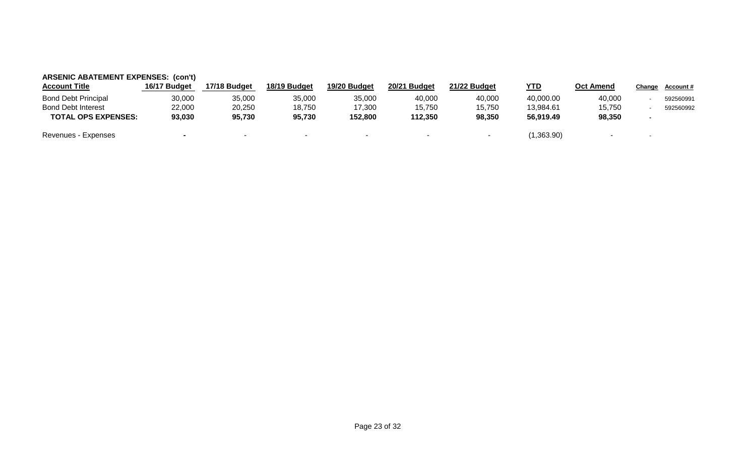| <b>ARSENIC ABATEMENT EXPENSES: (con't)</b> |                |              |              |              |              |              |            |                  |        |           |
|--------------------------------------------|----------------|--------------|--------------|--------------|--------------|--------------|------------|------------------|--------|-----------|
| <b>Account Title</b>                       | 16/17 Budget   | 17/18 Budget | 18/19 Budget | 19/20 Budget | 20/21 Budget | 21/22 Budget | <u>YTD</u> | <b>Oct Amend</b> | Change | Account # |
| <b>Bond Debt Principal</b>                 | 30,000         | 35,000       | 35,000       | 35,000       | 40,000       | 40,000       | 40,000.00  | 40,000           |        | 592560991 |
| <b>Bond Debt Interest</b>                  | 22,000         | 20,250       | 18,750       | 17,300       | 15,750       | 15,750       | 13.984.61  | 15.750           |        | 592560992 |
| <b>TOTAL OPS EXPENSES:</b>                 | 93,030         | 95,730       | 95,730       | 152,800      | 112,350      | 98,350       | 56.919.49  | 98,350           |        |           |
| Revenues - Expenses                        | $\blacksquare$ |              |              | -            |              |              | (1,363.90) |                  | $\sim$ |           |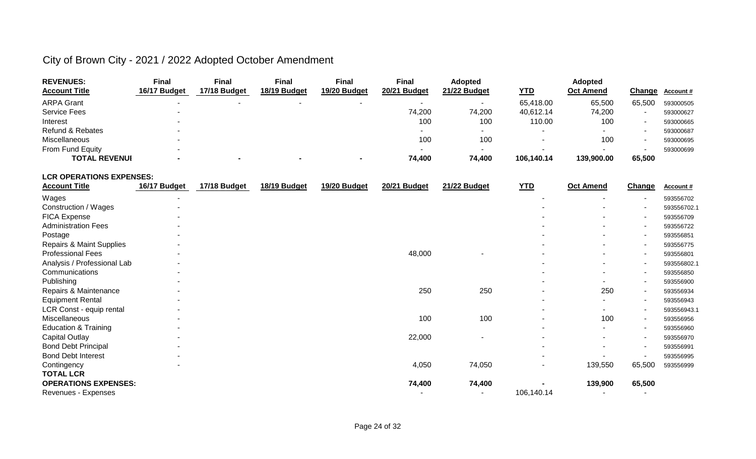| <b>REVENUES:</b>     | <b>Final</b> | <b>Final</b> | Final        | Final                    | <b>Final</b> | <b>Adopted</b>           |            | <b>Adopted</b>   |        |                  |
|----------------------|--------------|--------------|--------------|--------------------------|--------------|--------------------------|------------|------------------|--------|------------------|
| <b>Account Title</b> | 16/17 Budget | 17/18 Budget | 18/19 Budget | 19/20 Budget             | 20/21 Budget | 21/22 Budget             | <u>YTD</u> | <b>Oct Amend</b> | Change | <u>Account #</u> |
| <b>ARPA Grant</b>    |              |              |              | $\overline{\phantom{a}}$ |              |                          | 65,418.00  | 65,500           | 65,500 | 593000505        |
| <b>Service Fees</b>  |              |              |              |                          | 74,200       | 74,200                   | 40,612.14  | 74,200           |        | 593000627        |
| Interest             |              |              |              |                          | 100          | 100                      | 110.00     | 100              |        | 593000665        |
| Refund & Rebates     |              |              |              |                          |              | $\sim$                   |            |                  |        | 593000687        |
| Miscellaneous        |              |              |              |                          | 100          | 100                      |            | 100              |        | 593000695        |
| From Fund Equity     |              |              |              |                          |              | $\overline{\phantom{a}}$ |            |                  |        | 593000699        |
| <b>TOTAL REVENUI</b> |              |              |              | $\overline{\phantom{a}}$ | 74,400       | 74,400                   | 106,140.14 | 139,900.00       | 65,500 |                  |

#### **LCR OPERATIONS EXPENSES:**

| <b>Account Title</b>            | 16/17 Budget | 17/18 Budget | 18/19 Budget | 19/20 Budget | 20/21 Budget | 21/22 Budget | <u>YTD</u> | <b>Oct Amend</b> | Change                   | Account #   |
|---------------------------------|--------------|--------------|--------------|--------------|--------------|--------------|------------|------------------|--------------------------|-------------|
| Wages                           |              |              |              |              |              |              |            |                  | $\overline{\phantom{a}}$ | 593556702   |
| Construction / Wages            |              |              |              |              |              |              |            |                  | $\overline{\phantom{a}}$ | 593556702.1 |
| FICA Expense                    |              |              |              |              |              |              |            |                  | $\overline{\phantom{a}}$ | 593556709   |
| <b>Administration Fees</b>      |              |              |              |              |              |              |            |                  | $\overline{\phantom{a}}$ | 593556722   |
| Postage                         |              |              |              |              |              |              |            |                  | $\overline{\phantom{a}}$ | 593556851   |
| Repairs & Maint Supplies        |              |              |              |              |              |              |            |                  | $\overline{\phantom{a}}$ | 593556775   |
| <b>Professional Fees</b>        |              |              |              |              | 48,000       |              |            |                  | $\overline{\phantom{a}}$ | 593556801   |
| Analysis / Professional Lab     |              |              |              |              |              |              |            |                  | $\overline{\phantom{a}}$ | 593556802.  |
| Communications                  |              |              |              |              |              |              |            |                  | $\overline{\phantom{a}}$ | 593556850   |
| Publishing                      |              |              |              |              |              |              |            |                  | $\overline{\phantom{a}}$ | 593556900   |
| Repairs & Maintenance           |              |              |              |              | 250          | 250          |            | 250              | $\blacksquare$           | 593556934   |
| <b>Equipment Rental</b>         |              |              |              |              |              |              |            |                  | $\overline{\phantom{a}}$ | 593556943   |
| LCR Const - equip rental        |              |              |              |              |              |              |            |                  | $\overline{\phantom{a}}$ | 593556943.  |
| Miscellaneous                   |              |              |              |              | 100          | 100          |            | 100              | $\overline{\phantom{a}}$ | 593556956   |
| <b>Education &amp; Training</b> |              |              |              |              |              |              |            |                  | $\overline{\phantom{a}}$ | 593556960   |
| <b>Capital Outlay</b>           |              |              |              |              | 22,000       |              |            |                  | $\overline{\phantom{a}}$ | 593556970   |
| <b>Bond Debt Principal</b>      |              |              |              |              |              |              |            |                  | $\overline{\phantom{a}}$ | 593556991   |
| <b>Bond Debt Interest</b>       |              |              |              |              |              |              |            |                  | $\overline{\phantom{a}}$ | 593556995   |
| Contingency                     |              |              |              |              | 4,050        | 74,050       |            | 139,550          | 65,500                   | 593556999   |
| <b>TOTAL LCR</b>                |              |              |              |              |              |              |            |                  |                          |             |
| <b>OPERATIONS EXPENSES:</b>     |              |              |              |              | 74,400       | 74,400       |            | 139,900          | 65,500                   |             |
| Revenues - Expenses             |              |              |              |              |              |              | 106,140.14 |                  |                          |             |
|                                 |              |              |              |              |              |              |            |                  |                          |             |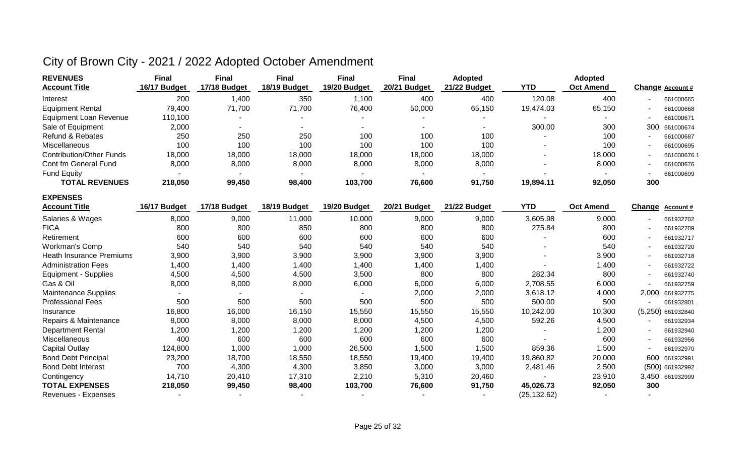| <b>REVENUES</b>                 | <b>Final</b> | <b>Final</b> | Final        | <b>Final</b> | <b>Final</b> | <b>Adopted</b> |            | <b>Adopted</b>   |        |                     |
|---------------------------------|--------------|--------------|--------------|--------------|--------------|----------------|------------|------------------|--------|---------------------|
| <b>Account Title</b>            | 16/17 Budget | 17/18 Budget | 18/19 Budget | 19/20 Budget | 20/21 Budget | 21/22 Budget   | <b>YTD</b> | <b>Oct Amend</b> |        | Change Account #    |
| Interest                        | 200          | 1,400        | 350          | 1,100        | 400          | 400            | 120.08     | 400              |        | 661000665           |
| <b>Equipment Rental</b>         | 79,400       | 71,700       | 71,700       | 76,400       | 50,000       | 65,150         | 19,474.03  | 65,150           |        | 661000668           |
| <b>Equipment Loan Revenue</b>   | 110,100      |              |              |              |              |                |            |                  |        | 661000671           |
| Sale of Equipment               | 2,000        |              |              |              |              |                | 300.00     | 300              | 300    | 661000674           |
| <b>Refund &amp; Rebates</b>     | 250          | 250          | 250          | 100          | 100          | 100            |            | 100              |        | 661000687           |
| Miscellaneous                   | 100          | 100          | 100          | 100          | 100          | 100            |            | 100              |        | 661000695           |
| <b>Contribution/Other Funds</b> | 18,000       | 18,000       | 18,000       | 18,000       | 18,000       | 18,000         |            | 18,000           |        | 661000676.1         |
| Cont fm General Fund            | 8,000        | 8,000        | 8,000        | 8,000        | 8,000        | 8,000          |            | 8,000            |        | 661000676           |
| <b>Fund Equity</b>              |              |              |              |              |              |                |            |                  |        | 661000699           |
| <b>TOTAL REVENUES</b>           | 218,050      | 99,450       | 98,400       | 103,700      | 76,600       | 91,750         | 19,894.11  | 92,050           | 300    |                     |
| <b>EXPENSES</b>                 |              |              |              |              |              |                |            |                  |        |                     |
| <b>Account Title</b>            | 16/17 Budget | 17/18 Budget | 18/19 Budget | 19/20 Budget | 20/21 Budget | 21/22 Budget   | <b>YTD</b> | <b>Oct Amend</b> | Change | Account #           |
| Salaries & Wages                | 8,000        | 9,000        | 11,000       | 10,000       | 9,000        | 9,000          | 3,605.98   | 9,000            |        | 661932702           |
| <b>FICA</b>                     | 800          | 800          | 850          | 800          | 800          | 800            | 275.84     | 800              |        | 661932709           |
| Retirement                      | 600          | 600          | 600          | 600          | 600          | 600            |            | 600              |        | 661932717           |
| <b>Workman's Comp</b>           | 540          | 540          | 540          | 540          | 540          | 540            |            | 540              |        | 661932720           |
| <b>Heath Insurance Premiums</b> | 3,900        | 3,900        | 3,900        | 3,900        | 3,900        | 3,900          |            | 3,900            |        | 661932718           |
| <b>Administration Fees</b>      | 1,400        | 1,400        | 1,400        | 1,400        | 1,400        | 1,400          |            | 1,400            |        | 661932722           |
| <b>Equipment - Supplies</b>     | 4,500        | 4,500        | 4,500        | 3,500        | 800          | 800            | 282.34     | 800              |        | 661932740           |
| Gas & Oil                       | 8,000        | 8,000        | 8,000        | 6,000        | 6,000        | 6,000          | 2,708.55   | 6,000            |        | 661932759           |
| <b>Maintenance Supplies</b>     |              |              |              |              | 2,000        | 2,000          | 3,618.12   | 4,000            | 2,000  | 661932775           |
| <b>Professional Fees</b>        | 500          | 500          | 500          | 500          | 500          | 500            | 500.00     | 500              |        | 661932801           |
| Insurance                       | 16,800       | 16,000       | 16,150       | 15,550       | 15,550       | 15,550         | 10,242.00  | 10,300           |        | $(5,250)$ 661932840 |
| Repairs & Maintenance           | 8,000        | 8,000        | 8,000        | 8,000        | 4,500        | 4,500          | 592.26     | 4,500            |        | 661932934           |
| <b>Department Rental</b>        | 1,200        | 1,200        | 1,200        | 1,200        | 1,200        | 1,200          |            | 1,200            |        | 661932940           |
| Miscellaneous                   | 400          | 600          | 600          | 600          | 600          | 600            |            | 600              |        | 661932956           |
| <b>Capital Outlay</b>           | 124,800      | 1,000        | 1,000        | 26,500       | 1,500        | 1,500          | 859.36     | 1,500            |        | 661932970           |
| <b>Bond Debt Principal</b>      | 23,200       | 18,700       | 18,550       | 18,550       | 19,400       | 19,400         | 19,860.82  | 20,000           | 600    | 661932991           |
| <b>Bond Debt Interest</b>       | 700          | 4,300        | 4,300        | 3,850        | 3,000        | 3,000          | 2,481.46   | 2,500            |        | (500) 661932992     |
| Contingency                     | 14,710       | 20,410       | 17,310       | 2,210        | 5,310        | 20,460         |            | 23,910           |        | 3.450 661932999     |

**TOTAL EXPENSES 218,050 99,450 98,400 103,700 76,600 91,750 45,026.73 92,050 300**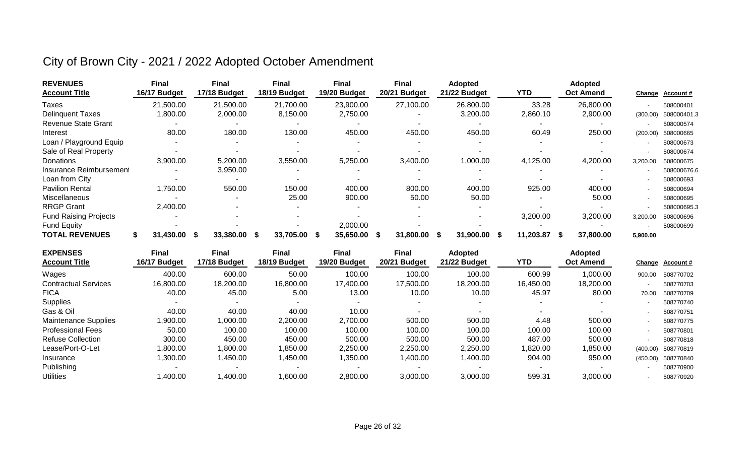| <b>REVENUES</b>              | Final        | <b>Final</b>     | <b>Final</b>     | <b>Final</b>      | <b>Final</b>    | <b>Adopted</b>    |            | <b>Adopted</b>        |          |                  |
|------------------------------|--------------|------------------|------------------|-------------------|-----------------|-------------------|------------|-----------------------|----------|------------------|
| <b>Account Title</b>         | 16/17 Budget | 17/18 Budget     | 18/19 Budget     | 19/20 Budget      | 20/21 Budget    | 21/22 Budget      | <b>YTD</b> | <b>Oct Amend</b>      | Change   | <b>Account #</b> |
| Taxes                        | 21,500.00    | 21,500.00        | 21,700.00        | 23,900.00         | 27,100.00       | 26,800.00         | 33.28      | 26,800.00             |          | 508000401        |
| <b>Delinguent Taxes</b>      | 1,800.00     | 2,000.00         | 8,150.00         | 2,750.00          |                 | 3,200.00          | 2,860.10   | 2,900.00              | (300.00) | 508000401.3      |
| <b>Revenue State Grant</b>   |              |                  |                  |                   |                 |                   |            |                       |          | 508000574        |
| Interest                     | 80.00        | 180.00           | 130.00           | 450.00            | 450.00          | 450.00            | 60.49      | 250.00                | (200.00) | 508000665        |
| Loan / Playground Equip      |              |                  |                  |                   |                 |                   |            |                       |          | 508000673        |
| Sale of Real Property        |              |                  |                  |                   |                 |                   |            |                       |          | 508000674        |
| Donations                    | 3,900.00     | 5,200.00         | 3,550.00         | 5,250.00          | 3,400.00        | 1,000.00          | 4,125.00   | 4,200.00              | 3,200.00 | 508000675        |
| Insurance Reimbursement      |              | 3,950.00         |                  |                   |                 |                   |            |                       |          | 508000676.6      |
| Loan from City               |              |                  |                  |                   |                 |                   |            |                       |          | 508000693        |
| <b>Pavilion Rental</b>       | 1,750.00     | 550.00           | 150.00           | 400.00            | 800.00          | 400.00            | 925.00     | 400.00                |          | 508000694        |
| <b>Miscellaneous</b>         |              |                  | 25.00            | 900.00            | 50.00           | 50.00             |            | 50.00                 |          | 508000695        |
| <b>RRGP Grant</b>            | 2,400.00     |                  |                  |                   |                 |                   |            |                       |          | 508000695.3      |
| <b>Fund Raising Projects</b> |              |                  |                  |                   |                 |                   | 3,200.00   | 3,200.00              | 3,200.00 | 508000696        |
| <b>Fund Equity</b>           |              |                  |                  | 2,000.00          |                 |                   |            |                       |          | 508000699        |
| <b>TOTAL REVENUES</b>        | 31,430.00    | 33,380.00<br>- S | 33,705.00<br>- S | 35,650.00<br>- 56 | 31,800.00<br>-S | 31,900.00<br>- 56 | 11,203.87  | 37,800.00<br><b>S</b> | 5,900.00 |                  |

| <b>EXPENSES</b>             | Final        | <b>Final</b> | Final        | <b>Final</b> | <b>Final</b> | <b>Adopted</b> |           | <b>Adopted</b>   |          |                    |
|-----------------------------|--------------|--------------|--------------|--------------|--------------|----------------|-----------|------------------|----------|--------------------|
| <b>Account Title</b>        | 16/17 Budget | 17/18 Budget | 18/19 Budget | 19/20 Budget | 20/21 Budget | 21/22 Budget   | YTD       | <b>Oct Amend</b> |          | Change Account#    |
| Wages                       | 400.00       | 600.00       | 50.00        | 100.00       | 100.00       | 100.00         | 600.99    | 1,000.00         | 900.00   | 508770702          |
| <b>Contractual Services</b> | 16,800.00    | 18,200.00    | 16,800.00    | 17,400.00    | 17,500.00    | 18,200.00      | 16.450.00 | 18,200.00        |          | 508770703          |
| <b>FICA</b>                 | 40.00        | 45.00        | 5.00         | 13.00        | 10.00        | 10.00          | 45.97     | 80.00            | 70.00    | 508770709          |
| Supplies                    |              |              | $\sim$       |              |              |                |           |                  |          | 508770740          |
| Gas & Oil                   | 40.00        | 40.00        | 40.00        | 10.00        |              |                |           |                  |          | 508770751          |
| <b>Maintenance Supplies</b> | 0.000,       | 00.000,      | 2,200.00     | 2,700.00     | 500.00       | 500.00         | 4.48      | 500.00           |          | 508770775          |
| <b>Professional Fees</b>    | 50.00        | 100.00       | 100.00       | 100.00       | 100.00       | 100.00         | 100.00    | 100.00           |          | 508770801          |
| <b>Refuse Collection</b>    | 300.00       | 450.00       | 450.00       | 500.00       | 500.00       | 500.00         | 487.00    | 500.00           |          | 508770818          |
| Lease/Port-O-Let            | ,800.00      | ,800.00      | 1,850.00     | 2,250.00     | 2,250.00     | 2.250.00       | 1,820.00  | 1,850.00         | (400.00) | 508770819          |
| Insurance                   | ,300.00      | ,450.00      | 1,450.00     | 350.00       | 1,400.00     | 1,400.00       | 904.00    | 950.00           |          | (450.00) 508770840 |
| Publishing                  |              |              |              |              |              |                |           |                  |          | 508770900          |
| <b>Utilities</b>            | ,400.00      | 1,400.00     | 1,600.00     | 2,800.00     | 3,000.00     | 3,000.00       | 599.31    | 3,000.00         |          | 508770920          |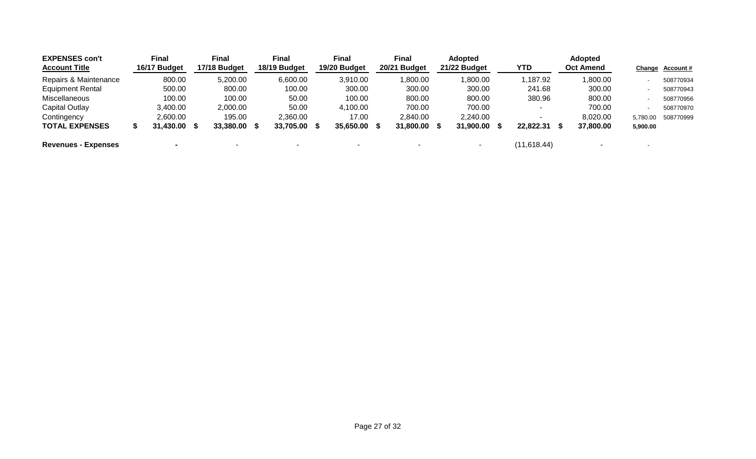| <b>EXPENSES con't</b>      |   | <b>Final</b> | Final        | <b>Final</b> | <b>Final</b> |      | <b>Final</b>   | <b>Adopted</b> |              |      | <b>Adopted</b>   |          |                  |
|----------------------------|---|--------------|--------------|--------------|--------------|------|----------------|----------------|--------------|------|------------------|----------|------------------|
| <b>Account Title</b>       |   | 16/17 Budget | 17/18 Budget | 18/19 Budget | 19/20 Budget |      | 20/21 Budget   | 21/22 Budget   | YTD          |      | <b>Oct Amend</b> |          | Change Account # |
| Repairs & Maintenance      |   | 800.00       | 5,200.00     | 6,600.00     | 3,910.00     |      | 1,800.00       | 1,800.00       | 1,187.92     |      | 1,800.00         |          | 508770934        |
| <b>Equipment Rental</b>    |   | 500.00       | 800.00       | 100.00       | 300.00       |      | 300.00         | 300.00         | 241.68       |      | 300.00           |          | 508770943        |
| Miscellaneous              |   | 100.00       | 100.00       | 50.00        | 100.00       |      | 800.00         | 800.00         | 380.96       |      | 800.00           |          | 508770956        |
| Capital Outlay             |   | 3,400.00     | 2,000.00     | 50.00        | 4,100.00     |      | 700.00         | 700.00         |              |      | 700.00           |          | 508770970        |
| Contingency                |   | 2,600.00     | 195.00       | 2,360.00     | 17.00        |      | 2,840.00       | 2,240.00       |              |      | 8,020.00         | 5.780.00 | 508770999        |
| <b>TOTAL EXPENSES</b>      | S | 31,430.00 \$ | 33,380.00 \$ | 33,705.00 \$ | 35,650.00    | - SS | $31,800.00$ \$ | 31,900.00      | 22,822,31    | - 55 | 37,800.00        | 5,900.00 |                  |
| <b>Revenues - Expenses</b> |   |              |              |              |              |      |                |                | (11, 618.44) |      |                  |          |                  |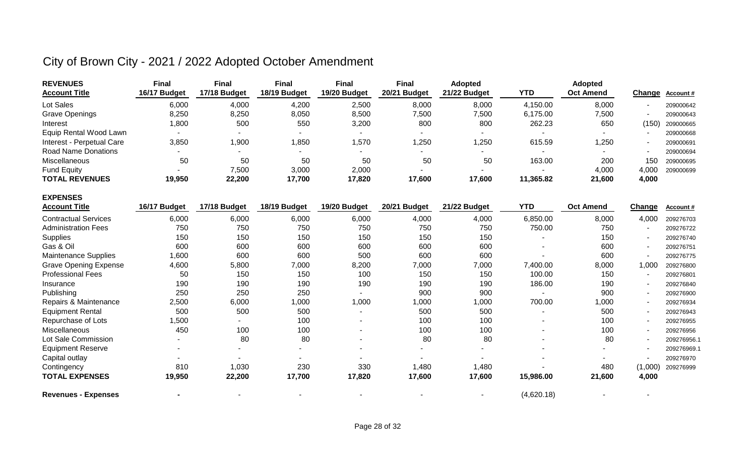| <b>REVENUES</b>           | Final        | <b>Final</b> | Final        | Final        | Final        | <b>Adopted</b> |           | <b>Adopted</b>           |       |                  |
|---------------------------|--------------|--------------|--------------|--------------|--------------|----------------|-----------|--------------------------|-------|------------------|
| <b>Account Title</b>      | 16/17 Budget | 17/18 Budget | 18/19 Budget | 19/20 Budget | 20/21 Budget | 21/22 Budget   | YTD       | <b>Oct Amend</b>         |       | Change Account # |
| Lot Sales                 | 6,000        | 4,000        | 4,200        | 2,500        | 8,000        | 8,000          | 4,150.00  | 8,000                    |       | 209000642        |
| <b>Grave Openings</b>     | 8,250        | 8,250        | 8,050        | 8,500        | 7,500        | 7,500          | 6,175.00  | 7,500                    |       | 209000643        |
| Interest                  | 0.800        | 500          | 550          | 3,200        | 800          | 800            | 262.23    | 650                      | (150) | 209000665        |
| Equip Rental Wood Lawn    |              | . .          |              |              |              |                |           | $\overline{\phantom{a}}$ |       | 209000668        |
| Interest - Perpetual Care | 3,850        | 1,900        | 1,850        | ,570         | ,250         | 1,250          | 615.59    | 1,250                    |       | 209000691        |
| Road Name Donations       |              |              |              | -            |              |                |           | $\overline{\phantom{a}}$ |       | 209000694        |
| Miscellaneous             | 50           | 50           | 50           | 50           | 50           | 50             | 163.00    | 200                      | 150   | 209000695        |
| <b>Fund Equity</b>        |              | 7,500        | 3,000        | 2,000        |              |                |           | 4,000                    | 4.000 | 209000699        |
| <b>TOTAL REVENUES</b>     | 19,950       | 22,200       | 17,700       | 17,820       | 17,600       | 17,600         | 11,365.82 | 21,600                   | 4,000 |                  |

| <b>EXPENSES</b>              |              |              |              |              |              |                          |            |                  |         |             |
|------------------------------|--------------|--------------|--------------|--------------|--------------|--------------------------|------------|------------------|---------|-------------|
| <b>Account Title</b>         | 16/17 Budget | 17/18 Budget | 18/19 Budget | 19/20 Budget | 20/21 Budget | 21/22 Budget             | YTD        | <b>Oct Amend</b> | Change  | Account#    |
| <b>Contractual Services</b>  | 6,000        | 6,000        | 6,000        | 6,000        | 4,000        | 4,000                    | 6,850.00   | 8,000            | 4,000   | 209276703   |
| <b>Administration Fees</b>   | 750          | 750          | 750          | 750          | 750          | 750                      | 750.00     | 750              |         | 209276722   |
| Supplies                     | 150          | 150          | 150          | 150          | 150          | 150                      |            | 150              |         | 209276740   |
| Gas & Oil                    | 600          | 600          | 600          | 600          | 600          | 600                      | ۰          | 600              |         | 209276751   |
| <b>Maintenance Supplies</b>  | 1,600        | 600          | 600          | 500          | 600          | 600                      |            | 600              |         | 209276775   |
| <b>Grave Opening Expense</b> | 4,600        | 5,800        | 7,000        | 8,200        | 7,000        | 7,000                    | 7,400.00   | 8,000            | 1,000   | 209276800   |
| <b>Professional Fees</b>     | 50           | 150          | 150          | 100          | 150          | 150                      | 100.00     | 150              |         | 209276801   |
| Insurance                    | 190          | 190          | 190          | 190          | 190          | 190                      | 186.00     | 190              |         | 209276840   |
| Publishing                   | 250          | 250          | 250          |              | 900          | 900                      | ٠          | 900              |         | 209276900   |
| Repairs & Maintenance        | 2,500        | 6,000        | 1,000        | 1,000        | 000,         | 1,000                    | 700.00     | 1,000            |         | 209276934   |
| <b>Equipment Rental</b>      | 500          | 500          | 500          |              | 500          | 500                      |            | 500              |         | 209276943   |
| Repurchase of Lots           | 1,500        |              | 100          | $\sim$       | 100          | 100                      |            | 100              |         | 209276955   |
| Miscellaneous                | 450          | 100          | 100          | $\sim$       | 100          | 100                      | ۰          | 100              |         | 209276956   |
| Lot Sale Commission          |              | 80           | 80           |              | 80           | 80                       |            | 80               |         | 209276956.1 |
| <b>Equipment Reserve</b>     |              | $\sim$       | ٠            | $\sim$       | ۰            | $\overline{\phantom{a}}$ | ۰.         |                  |         | 209276969.  |
| Capital outlay               |              |              | ۰.           |              |              |                          |            |                  |         | 209276970   |
| Contingency                  | 810          | 1,030        | 230          | 330          | 1,480        | 1,480                    |            | 480              | (1,000) | 209276999   |
| <b>TOTAL EXPENSES</b>        | 19,950       | 22,200       | 17,700       | 17,820       | 17,600       | 17,600                   | 15,986.00  | 21,600           | 4,000   |             |
| <b>Revenues - Expenses</b>   |              |              |              |              |              |                          | (4,620.18) |                  |         |             |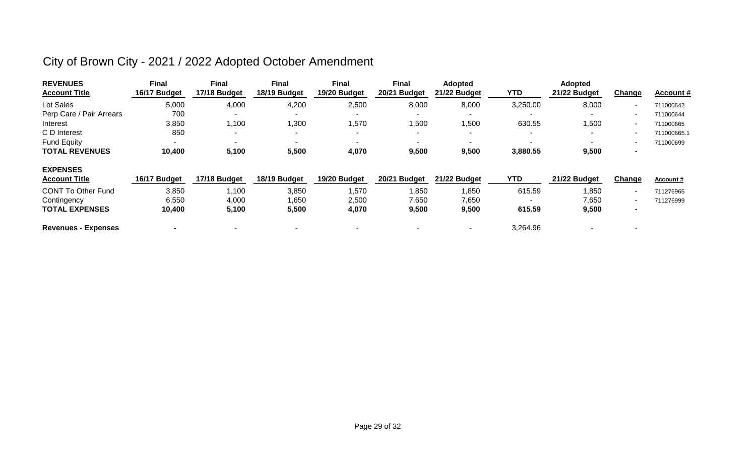| <b>REVENUES</b><br><b>Account Title</b> | Final<br>16/17 Budget | <b>Final</b><br>17/18 Budget | Final<br>18/19 Budget    | Final<br>19/20 Budget    | <b>Final</b><br>20/21 Budget | <b>Adopted</b><br>21/22 Budget | YTD        | <b>Adopted</b><br>21/22 Budget | Ch <u>ange</u>           | <b>Account #</b> |
|-----------------------------------------|-----------------------|------------------------------|--------------------------|--------------------------|------------------------------|--------------------------------|------------|--------------------------------|--------------------------|------------------|
| Lot Sales                               | 5,000                 | 4,000                        | 4,200                    | 2,500                    | 8,000                        | 8,000                          | 3,250.00   | 8,000                          | $\blacksquare$           | 711000642        |
| Perp Care / Pair Arrears                | 700                   | ۰                            |                          |                          |                              |                                |            |                                | $\overline{\phantom{a}}$ | 711000644        |
| Interest                                | 3,850                 | 1,100                        | 1,300                    | 1,570                    | 1,500                        | 1,500                          | 630.55     | ,500                           | $\sim$                   | 711000665        |
| C D Interest                            | 850                   | ۰                            | ۰                        | $\overline{\phantom{0}}$ |                              |                                |            |                                | $\overline{\phantom{a}}$ | 711000665.1      |
| <b>Fund Equity</b>                      |                       | $\overline{\phantom{0}}$     | $\overline{\phantom{a}}$ | $\blacksquare$           |                              |                                |            |                                | $\overline{\phantom{a}}$ | 711000699        |
| <b>TOTAL REVENUES</b>                   | 10,400                | 5,100                        | 5,500                    | 4,070                    | 9,500                        | 9,500                          | 3,880.55   | 9,500                          | $\blacksquare$           |                  |
| <b>EXPENSES</b>                         |                       |                              |                          |                          |                              |                                |            |                                |                          |                  |
| <b>Account Title</b>                    | 16/17 Budget          | 17/18 Budget                 | 18/19 Budget             | 19/20 Budget             | 20/21 Budget                 | 21/22 Budget                   | <b>YTD</b> | 21/22 Budget                   | Change                   | <b>Account #</b> |
| <b>CONT To Other Fund</b>               | 3,850                 | 1,100                        | 3,850                    | 1,570                    | 1,850                        | 1,850                          | 615.59     | ,850                           | $\sim$                   | 711276965        |
| Contingency                             | 6,550                 | 4,000                        | 1,650                    | 2,500                    | 7,650                        | 7,650                          |            | 7,650                          | $\sim$                   | 711276999        |
| <b>TOTAL EXPENSES</b>                   | 10,400                | 5,100                        | 5,500                    | 4,070                    | 9,500                        | 9,500                          | 615.59     | 9,500                          | $\blacksquare$           |                  |
| <b>Revenues - Expenses</b>              |                       |                              |                          |                          |                              |                                | 3,264.96   |                                |                          |                  |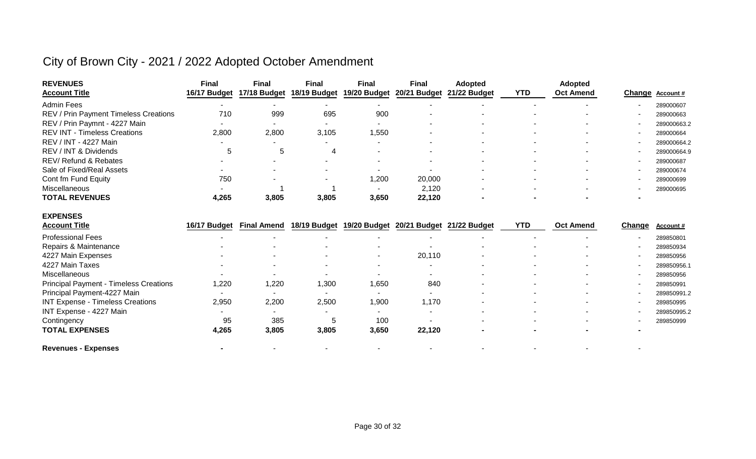| <b>REVENUES</b><br><b>Account Title</b>       | <b>Final</b><br>16/17 Budget | <b>Final</b><br>17/18 Budget | <b>Final</b><br>18/19 Budget | <b>Final</b><br>19/20 Budget | <b>Final</b><br>20/21 Budget           | <b>Adopted</b><br>21/22 Budget | <b>YTD</b> | <b>Adopted</b><br><b>Oct Amend</b> | Change | Account#    |
|-----------------------------------------------|------------------------------|------------------------------|------------------------------|------------------------------|----------------------------------------|--------------------------------|------------|------------------------------------|--------|-------------|
| <b>Admin Fees</b>                             |                              |                              |                              |                              |                                        |                                |            |                                    |        | 289000607   |
| REV / Prin Payment Timeless Creations         | 710                          | 999                          | 695                          | 900                          |                                        |                                |            |                                    |        | 289000663   |
| REV / Prin Paymnt - 4227 Main                 |                              |                              |                              |                              |                                        |                                |            |                                    |        | 289000663.2 |
| <b>REV INT - Timeless Creations</b>           | 2,800                        | 2,800                        | 3,105                        | 1,550                        |                                        |                                |            |                                    |        | 289000664   |
| REV / INT - 4227 Main                         |                              |                              |                              |                              |                                        |                                |            |                                    |        | 289000664.2 |
| REV / INT & Dividends                         | 5                            | 5                            | 4                            |                              |                                        |                                |            |                                    |        | 289000664.9 |
| <b>REV/ Refund &amp; Rebates</b>              |                              |                              |                              |                              |                                        |                                |            |                                    |        | 289000687   |
| Sale of Fixed/Real Assets                     |                              |                              |                              |                              |                                        |                                |            |                                    |        | 289000674   |
| Cont fm Fund Equity                           | 750                          |                              |                              | 1,200                        | 20,000                                 |                                |            |                                    |        | 289000699   |
| Miscellaneous                                 |                              |                              |                              |                              | 2,120                                  |                                |            |                                    |        | 289000695   |
| <b>TOTAL REVENUES</b>                         | 4,265                        | 3,805                        | 3,805                        | 3,650                        | 22,120                                 |                                |            |                                    |        |             |
| <b>EXPENSES</b>                               |                              |                              |                              |                              |                                        |                                |            |                                    |        |             |
| <b>Account Title</b>                          | 16/17 Budget                 | <b>Final Amend</b>           | 18/19 Budget                 |                              | 19/20 Budget 20/21 Budget 21/22 Budget |                                | <b>YTD</b> | <b>Oct Amend</b>                   | Change | Account#    |
| <b>Professional Fees</b>                      |                              |                              |                              |                              |                                        |                                |            |                                    |        | 289850801   |
| Repairs & Maintenance                         |                              |                              |                              |                              |                                        |                                |            |                                    |        | 289850934   |
| 4227 Main Expenses                            |                              |                              |                              |                              | 20,110                                 |                                |            |                                    |        | 289850956   |
| 4227 Main Taxes                               |                              |                              |                              |                              |                                        |                                |            |                                    |        | 289850956.1 |
| Miscellaneous                                 |                              |                              |                              |                              |                                        |                                |            |                                    |        | 289850956   |
| <b>Principal Payment - Timeless Creations</b> | 1,220                        | 1,220                        | 1,300                        | 1,650                        | 840                                    |                                |            |                                    |        | 289850991   |
| Principal Payment-4227 Main                   |                              |                              |                              |                              |                                        |                                |            |                                    |        | 289850991.2 |
| <b>INT Expense - Timeless Creations</b>       | 2,950                        | 2,200                        | 2,500                        | 1,900                        | 1,170                                  |                                |            |                                    |        | 289850995   |
| INT Expense - 4227 Main                       |                              |                              |                              |                              |                                        |                                |            |                                    |        | 289850995.2 |
| Contingency                                   | 95                           | 385                          | 5                            | 100                          |                                        |                                |            |                                    |        | 289850999   |
| <b>TOTAL EXPENSES</b>                         | 4,265                        | 3,805                        | 3,805                        | 3,650                        | 22,120                                 |                                |            |                                    |        |             |
| <b>Revenues - Expenses</b>                    |                              |                              |                              |                              |                                        |                                |            |                                    |        |             |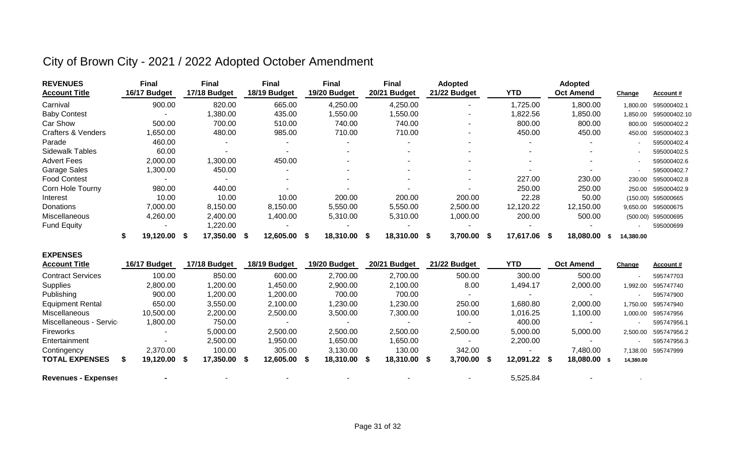| <b>REVENUES</b><br><b>Account Title</b> | <b>Final</b><br>16/17 Budget | <b>Final</b><br>17/18 Budget |     | Final<br>18/19 Budget    | Final<br>19/20 Budget    |      | Final<br>20/21 Budget    |      | <b>Adopted</b><br>21/22 Budget |      | <b>YTD</b>               |      | <b>Adopted</b><br><b>Oct Amend</b> | Change    | Account#     |
|-----------------------------------------|------------------------------|------------------------------|-----|--------------------------|--------------------------|------|--------------------------|------|--------------------------------|------|--------------------------|------|------------------------------------|-----------|--------------|
|                                         |                              |                              |     |                          |                          |      |                          |      |                                |      |                          |      |                                    |           |              |
| Carnival                                | 900.00                       | 820.00                       |     | 665.00                   | 4,250.00                 |      | 4,250.00                 |      |                                |      | 1,725.00                 |      | 1,800.00                           | 1,800.00  | 595000402.1  |
| <b>Baby Contest</b>                     | $\overline{\phantom{a}}$     | ,380.00                      |     | 435.00                   | 1,550.00                 |      | 1,550.00                 |      |                                |      | 822.56,                  |      | 850.00                             | 1,850.00  | 595000402.10 |
| <b>Car Show</b>                         | 500.00                       | 700.00                       |     | 510.00                   | 740.00                   |      | 740.00                   |      |                                |      | 800.00                   |      | 800.00                             | 800.00    | 595000402.2  |
| <b>Crafters &amp; Venders</b>           | ,650.00                      | 480.00                       |     | 985.00                   | 710.00                   |      | 710.00                   |      | $\sim$                         |      | 450.00                   |      | 450.00                             | 450.00    | 595000402.3  |
| Parade                                  | 460.00                       |                              |     |                          |                          |      | $\overline{\phantom{a}}$ |      |                                |      | $\overline{\phantom{a}}$ |      | $\overline{\phantom{0}}$           |           | 595000402.4  |
| <b>Sidewalk Tables</b>                  | 60.00                        |                              |     |                          | $\sim$                   |      | $\sim$                   |      |                                |      | $\sim$                   |      | $\sim$                             |           | 595000402.5  |
| <b>Advert Fees</b>                      | 2,000.00                     | 1,300.00                     |     | 450.00                   |                          |      | $\overline{\phantom{a}}$ |      |                                |      | $\overline{\phantom{a}}$ |      | $\overline{\phantom{a}}$           |           | 595000402.6  |
| <b>Garage Sales</b>                     | ,300.00                      | 450.00                       |     |                          | $\sim$                   |      | $\sim$                   |      |                                |      |                          |      |                                    |           | 595000402.7  |
| <b>Food Contest</b>                     | $\sim$                       |                              |     | $\overline{\phantom{a}}$ | $\overline{\phantom{a}}$ |      | $\sim$                   |      | $\overline{\phantom{a}}$       |      | 227.00                   |      | 230.00                             | 230.00    | 595000402.8  |
| Corn Hole Tourny                        | 980.00                       | 440.00                       |     |                          |                          |      |                          |      |                                |      | 250.00                   |      | 250.00                             | 250.00    | 595000402.9  |
| Interest                                | 10.00                        | 10.00                        |     | 10.00                    | 200.00                   |      | 200.00                   |      | 200.00                         |      | 22.28                    |      | 50.00                              | (150.00)  | 595000665    |
| Donations                               | 7,000.00                     | 8,150.00                     |     | 8,150.00                 | 5,550.00                 |      | 5,550.00                 |      | 2,500.00                       |      | 12,120.22                |      | 12,150.00                          | 9,650.00  | 595000675    |
| Miscellaneous                           | 4,260.00                     | 2,400.00                     |     | 1,400.00                 | 5,310.00                 |      | 5,310.00                 |      | 1,000.00                       |      | 200.00                   |      | 500.00                             | (500.00)  | 595000695    |
| <b>Fund Equity</b>                      |                              | 1,220.00                     |     |                          |                          |      |                          |      |                                |      |                          |      |                                    |           | 595000699    |
|                                         | 19,120.00 \$                 | 17,350.00                    | - S | 12,605.00 \$             | 18,310.00                | - \$ | 18,310.00                | - \$ | 3,700.00                       | - \$ | 17,617.06                | - \$ | 18,080.00                          | 14,380.00 |              |

| <b>EXPENSES</b>            |                          |              |              |              |              |              |              |                  |           |                  |
|----------------------------|--------------------------|--------------|--------------|--------------|--------------|--------------|--------------|------------------|-----------|------------------|
| <b>Account Title</b>       | 16/17 Budget             | 17/18 Budget | 18/19 Budget | 19/20 Budget | 20/21 Budget | 21/22 Budget | <b>YTD</b>   | <b>Oct Amend</b> | Change    | <b>Account #</b> |
| <b>Contract Services</b>   | 100.00                   | 850.00       | 600.00       | 2,700.00     | 2,700.00     | 500.00       | 300.00       | 500.00           |           | 595747703        |
| Supplies                   | 2,800.00                 | 1,200.00     | .450.00      | 2,900.00     | 2.100.00     | 8.00         | 1.494.17     | 2,000.00         | 1,992.00  | 595747740        |
| Publishing                 | 900.00                   | 1,200.00     | 1,200.00     | 700.00       | 700.00       |              |              |                  |           | 595747900        |
| <b>Equipment Rental</b>    | 650.00                   | 3,550.00     | 2,100.00     | 1,230.00     | 1,230.00     | 250.00       | 1,680.80     | 2,000.00         | 1,750.00  | 595747940        |
| <b>Miscellaneous</b>       | 10,500.00                | 2,200.00     | 2,500.00     | 3,500.00     | 7,300.00     | 100.00       | 1,016.25     | 1,100.00         | 1,000.00  | 595747956        |
| Miscellaneous - Servic     | 00.00,1                  | 750.00       |              |              |              |              | 400.00       |                  |           | 595747956.1      |
| Fireworks                  | $\overline{\phantom{a}}$ | 5,000.00     | 2,500.00     | 2,500.00     | 2,500.00     | 2,500.00     | 5,000.00     | 5,000.00         | 2,500.00  | 595747956.2      |
| Entertainment              | $\sim$                   | 2,500.00     | 950.00       | 1,650.00     | 1,650.00     |              | 2,200.00     |                  |           | 595747956.3      |
| Contingency                | 2,370.00                 | 100.00       | 305.00       | 3,130.00     | 130.00       | 342.00       |              | 7,480.00         | 7.138.00  | 595747999        |
| <b>TOTAL EXPENSES</b>      | 19,120.00 \$<br>S        | 17,350.00 \$ | 12,605.00 \$ | 18,310.00 \$ | 18,310.00 \$ | 3,700.00 \$  | 12,091.22 \$ | 18,080.00 \$     | 14,380.00 |                  |
| <b>Revenues - Expenses</b> |                          |              |              |              |              |              | 5,525.84     |                  |           |                  |